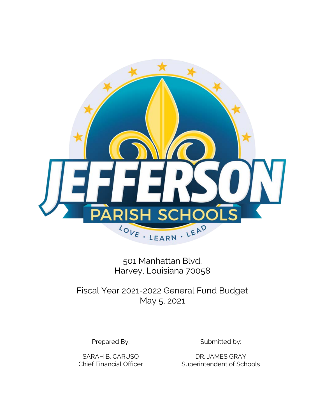

501 Manhattan Blvd. Harvey, Louisiana 70058

Fiscal Year 2021-2022 General Fund Budget May 5, 2021

Prepared By: Submitted by:

SARAH B. CARUSO DR. JAMES GRAY Chief Financial Officer Superintendent of Schools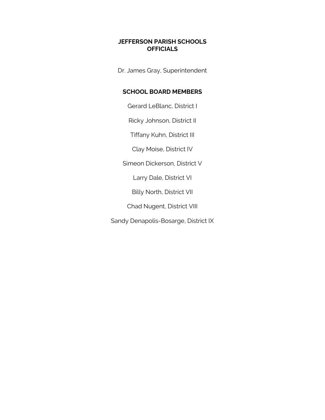## **JEFFERSON PARISH SCHOOLS OFFICIALS**

Dr. James Gray, Superintendent

# **SCHOOL BOARD MEMBERS**

Gerard LeBlanc, District I

Ricky Johnson, District II

Tiffany Kuhn, District III

Clay Moise, District IV

Simeon Dickerson, District V

Larry Dale, District VI

Billy North, District VII

Chad Nugent, District VIII

Sandy Denapolis-Bosarge, District IX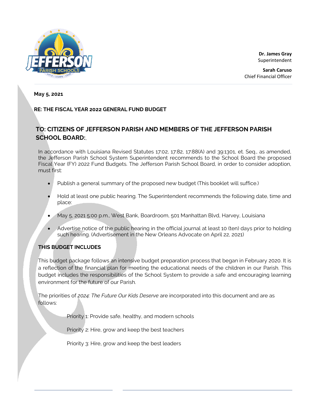

**Dr. James Gray** Superintendent

**Sarah Caruso** Chief Financial Officer

**May 5, 2021**

### **RE: THE FISCAL YEAR 2022 GENERAL FUND BUDGET**

# **TO: CITIZENS OF JEFFERSON PARISH AND MEMBERS OF THE JEFFERSON PARISH SCHOOL BOARD:**,

In accordance with Louisiana Revised Statutes 17:02, 17:82, 17:88(A) and 39:1301, et. Seq., as amended, the Jefferson Parish School System Superintendent recommends to the School Board the proposed Fiscal Year (FY) 2022 Fund Budgets. The Jefferson Parish School Board, in order to consider adoption, must first:

- Publish a general summary of the proposed new budget (This booklet will suffice.)
- Hold at least one public hearing. The Superintendent recommends the following date, time and place:
- May 5, 2021 5:00 p.m., West Bank, Boardroom, 501 Manhattan Blvd, Harvey, Louisiana
- Advertise notice of the public hearing in the official journal at least 10 (ten) days prior to holding such hearing. (Advertisement in the New Orleans Advocate on April 22, 2021)

### **THIS BUDGET INCLUDES**

This budget package follows an intensive budget preparation process that began in February 2020. It is a reflection of the financial plan for meeting the educational needs of the children in our Parish. This budget includes the responsibilities of the School System to provide a safe and encouraging learning environment for the future of our Parish.

The priorities of *2024: The Future Our Kids Deserve* are incorporated into this document and are as follows:

Priority 1: Provide safe, healthy, and modern schools

Priority 2: Hire, grow and keep the best teachers

Priority 3: Hire, grow and keep the best leaders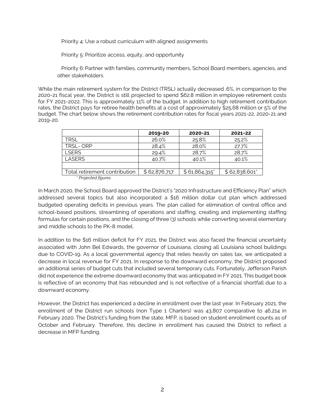Priority 4: Use a robust curriculum with aligned assignments

Priority 5: Prioritize access, equity, and opportunity

 Priority 6: Partner with families, community members, School Board members, agencies, and other stakeholders

While the main retirement system for the District (TRSL) actually decreased .6%, in comparison to the 2020-21 fiscal year, the District is still projected to spend \$62.8 million in employee retirement costs for FY 2021-2022. This is approximately 11% of the budget. In addition to high retirement contribution rates, the District pays for retiree health benefits at a cost of approximately \$25.68 million or 5% of the budget. The chart below shows the retirement contribution rates for fiscal years 2021-22, 2020-21 and 2019-20.

|                               | 2019-20      | 2020-21      | 2021-22       |
|-------------------------------|--------------|--------------|---------------|
| <b>TRSL</b>                   | 26.0%        | 25.8%        | 25.2%         |
| <b>TRSL-ORP</b>               | 28.4%        | 28.0%        | 27.7%         |
| <b>I SERS</b>                 | 29.4%        | 28.7%        | 28.7%         |
| <b>LASERS</b>                 | 40.7%        | 40.1%        | 40.1%         |
|                               |              |              |               |
| Total retirement contribution | \$62,876,717 | \$61,864,315 | \$62,838,601" |
| * Drajected figures           |              |              |               |

*\* Projected figures*

In March 2020, the School Board approved the District's "2020 Infrastructure and Efficiency Plan" which addressed several topics but also incorporated a \$16 million dollar cut plan which addressed budgeted operating deficits in previous years. The plan called for elimination of central office and school-based positions, streamlining of operations and staffing, creating and implementing staffing formulas for certain positions, and the closing of three (3) schools while converting several elementary and middle schools to the PK-8 model.

In addition to the \$16 million deficit for FY 2021, the District was also faced the financial uncertainty associated with John Bel Edwards, the governor of Louisiana, closing all Louisiana school buildings due to COVID-19. As a local governmental agency that relies heavily on sales tax, we anticipated a decrease in local revenue for FY 2021. In response to the downward economy, the District proposed an additional series of budget cuts that included several temporary cuts. Fortunately, Jefferson Parish did not experience the extreme downward economy that was anticipated in FY 2021. This budget book is reflective of an economy that has rebounded and is not reflective of a financial shortfall due to a downward economy.

However, the District has experienced a decline in enrollment over the last year. In February 2021, the enrollment of the District run schools (non Type 1 Charters) was 43,807 comparative to 46,214 in February 2020. The District's funding from the state, MFP, is based on student enrollment counts as of October and February. Therefore, this decline in enrollment has caused the District to reflect a decrease in MFP funding.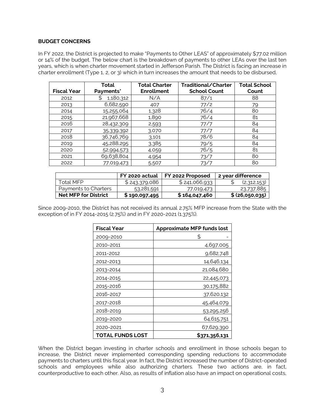#### **BUDGET CONCERNS**

In FY 2022, the District is projected to make "Payments to Other LEAS" of approximately \$77.02 million or 14% of the budget. The below chart is the breakdown of payments to other LEAs over the last ten years, which is when charter movement started in Jefferson Parish. The District is facing an increase in charter enrollment (Type 1, 2, or 3) which in turn increases the amount that needs to be disbursed,

|                    | Total      | <b>Total Charter</b> | Traditional/Charter | <b>Total School</b> |
|--------------------|------------|----------------------|---------------------|---------------------|
| <b>Fiscal Year</b> | Payments*  | <b>Enrollment</b>    | <b>School Count</b> | Count               |
| 2012               | 1,180,312  | N/A                  | 87/1                | 88                  |
| 2013               | 6,682,590  | 407                  | 77/2                | 79                  |
| 2014               | 15,255,064 | 1,328                | 76/4                | 80                  |
| 2015               | 21,967,668 | 1,890                | 76/4                | 81                  |
| 2016               | 28,432,309 | 2,593                | 77/7                | 84                  |
| 2017               | 35,339,392 | 3,070                | 77/7                | 84                  |
| 2018               | 36,746,769 | 3.101                | 78/6                | 84                  |
| 2019               | 45,288,295 | 3,385                | 79/5                | 84                  |
| 2020               | 52,994,573 | 4,059                | 76/5                | 81                  |
| 2021               | 69,638,804 | 4,954                | 73/7                | 80                  |
| 2022               | 77,019,473 | 5,507                | 73/7                | 80                  |

|                             | FY 2020 actual | FY 2022 Proposed | 2 year difference |
|-----------------------------|----------------|------------------|-------------------|
| Total MFP                   | \$243,379,086  | \$241,066,933    | (2,312,153)       |
| Payments to Charters        | 53,281,591     | 77,019,473       | 23,737,885        |
| <b>Net MFP for District</b> | \$190,097,495  | \$164,047,460    | \$ (26,050,035)   |

Since 2009-2010, the District has not received its annual 2.75% MFP increase from the State with the exception of in FY 2014-2015 (2.75%) and in FY 2020-2021 (1.375%).

| <b>Fiscal Year</b> | <b>Approximate MFP funds lost</b> |
|--------------------|-----------------------------------|
| 2009-2010          | S                                 |
| 2010-2011          | 4,697,005                         |
| 2011-2012          | 9,682,748                         |
| 2012-2013          | 14,646,134                        |
| 2013-2014          | 21,084,680                        |
| 2014-2015          | 22,445,073                        |
| 2015-2016          | 30,175,882                        |
| 2016-2017          | 37,620,132                        |
| 2017-2018          | 45,464,079                        |
| 2018-2019          | 53,295,256                        |
| 2019-2020          | 64,615,751                        |
| 2020-2021          | 67,629,390                        |
| TOTAL FUNDS LOST   | \$371,356,131                     |

When the District began investing in charter schools and enrollment in those schools began to increase, the District never implemented corresponding spending reductions to accommodate payments to charters until this fiscal year. In fact, the District increased the number of District-operated schools and employees while also authorizing charters. These two actions are, in fact, counterproductive to each other. Also, as results of inflation also have an impact on operational costs,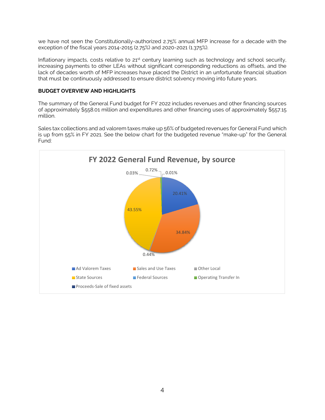we have not seen the Constitutionally-authorized 2.75% annual MFP increase for a decade with the exception of the fiscal years 2014-2015 (2.75%) and 2020-2021 (1.375%).

Inflationary impacts, costs relative to 21<sup>st</sup> century learning such as technology and school security, increasing payments to other LEAs without significant corresponding reductions as offsets, and the lack of decades worth of MFP increases have placed the District in an unfortunate financial situation that must be continuously addressed to ensure district solvency moving into future years.

#### **BUDGET OVERVIEW AND HIGHLIGHTS**

The summary of the General Fund budget for FY 2022 includes revenues and other financing sources of approximately \$558.01 million and expenditures and other financing uses of approximately \$557.15 million.

Sales tax collections and ad valorem taxes make up 56% of budgeted revenues for General Fund which is up from 55% in FY 2021. See the below chart for the budgeted revenue "make-up" for the General Fund:

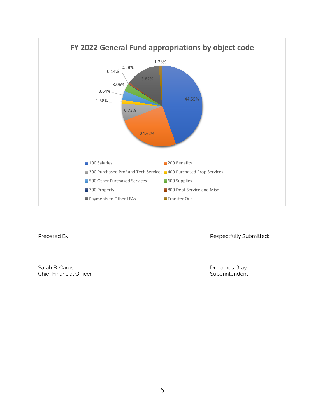

Prepared By: **Respectfully Submitted:** 

Sarah B. Caruso **Dr. James Gray** Chief Financial Officer **Superintendent** Superintendent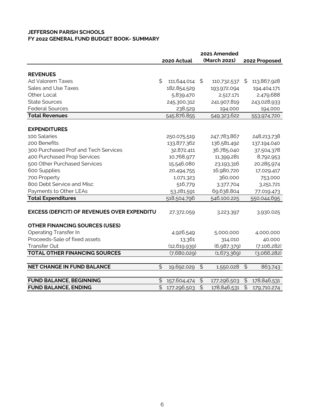## **JEFFERSON PARISH SCHOOLS FY 2022 GENERAL FUND BUDGET BOOK- SUMMARY**

|                                                    | 2021 Amended             |                |                          |              |                |               |
|----------------------------------------------------|--------------------------|----------------|--------------------------|--------------|----------------|---------------|
|                                                    |                          | 2020 Actual    |                          | (March 2021) |                | 2022 Proposed |
|                                                    |                          |                |                          |              |                |               |
| <b>REVENUES</b>                                    |                          |                |                          |              |                |               |
| <b>Ad Valorem Taxes</b>                            | \$                       | 111,644,014    | \$                       | 110,732,537  | \$             | 113,867,928   |
| Sales and Use Taxes                                |                          | 182,854,529    |                          | 193,972,094  |                | 194,404,171   |
| Other Local                                        |                          | 5,839,470      |                          | 2,517,171    |                | 2,479,688     |
| <b>State Sources</b>                               |                          | 245,300,312    |                          | 241,907,819  |                | 243,028,933   |
| <b>Federal Sources</b>                             |                          | 238,529        |                          | 194,000      |                | 194,000       |
| <b>Total Revenues</b>                              |                          | 545,876,855    |                          | 549,323,622  |                | 553,974,720   |
| <b>EXPENDITURES</b>                                |                          |                |                          |              |                |               |
| 100 Salaries                                       |                          | 250,075,519    |                          | 247,783,867  |                | 248,213,738   |
| 200 Benefits                                       |                          | 133,877,362    |                          | 136,581,492  |                | 137,194,040   |
| 300 Purchased Prof and Tech Services               |                          | 32,872,411     |                          | 36,785,040   |                | 37,504,378    |
| 400 Purchased Prop Services                        |                          | 10,768,977     |                          | 11,399,281   |                | 8,792,953     |
| 500 Other Purchased Services                       |                          | 15,546,080     |                          | 23,193,316   |                | 20,285,974    |
| 600 Supplies                                       |                          | 20,494,755     |                          | 16,980,720   |                | 17,029,417    |
| 700 Property                                       |                          | 1,071,323      |                          | 360,000      |                | 753,000       |
| 800 Debt Service and Misc                          |                          | 516,779        |                          | 3,377,704    |                | 3,251,721     |
| Payments to Other LEAs                             |                          | 53,281,591     |                          | 69,638,804   |                | 77,019,473    |
| <b>Total Expenditures</b>                          |                          | 518,504,796    |                          | 546,100,225  |                | 550,044,695   |
| <b>EXCESS (DEFICIT) OF REVENUES OVER EXPENDITU</b> |                          | 27,372,059     |                          | 3,223,397    |                | 3,930,025     |
| <b>OTHER FINANCING SOURCES (USES)</b>              |                          |                |                          |              |                |               |
| <b>Operating Transfer In</b>                       |                          | 4,926,549      |                          | 5,000,000    |                | 4,000,000     |
| Proceeds-Sale of fixed assets                      |                          | 13,361         |                          | 314,010      |                | 40,000        |
| Transfer Out                                       |                          | (12, 619, 939) |                          | (6,987,379)  |                | (7, 106, 282) |
| <b>TOTAL OTHER FINANCING SOURCES</b>               |                          | (7,680,029)    |                          | (1,673,369)  |                | (3,066,282)   |
|                                                    |                          |                |                          |              |                |               |
| <b>NET CHANGE IN FUND BALANCE</b>                  | \$                       | 19,692,029     | \$                       | 1,550,028    | $\frac{1}{2}$  | 863,743       |
| <b>FUND BALANCE, BEGINNING</b>                     | \$                       | 157,604,474    | $\mathfrak{S}$           | 177,296,503  | $\mathfrak{S}$ | 178,846,531   |
| <b>FUND BALANCE, ENDING</b>                        | $\overline{\mathcal{L}}$ | 177,296,503    | $\overline{\mathcal{L}}$ | 178,846,531  | $\frac{1}{2}$  | 179,710,274   |
|                                                    |                          |                |                          |              |                |               |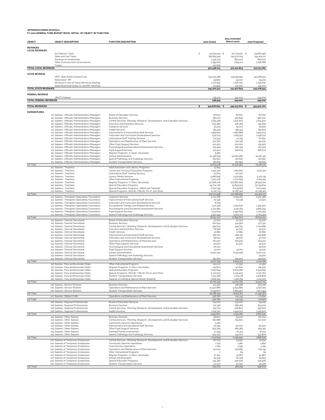**JEFFERSON PARISH SCHOOLS FY 2022 GENERAL FUND BUDGET BOOK- DETAIL- BY OBJECT, BY FUNCTION**

| OBJECT                                                 | <b>OBJECT DESCRIPTION</b>                                                                          | <b>FUNCTION DESCRIPTION</b>                                                                                     |    | 2020 Actual               | 2021 Amended<br>(March 2021) | 2022 Proposed             |
|--------------------------------------------------------|----------------------------------------------------------------------------------------------------|-----------------------------------------------------------------------------------------------------------------|----|---------------------------|------------------------------|---------------------------|
|                                                        |                                                                                                    |                                                                                                                 |    |                           |                              |                           |
| <b><i><u>REVENUES</u></i></b><br><b>LOCAL REVENUES</b> |                                                                                                    |                                                                                                                 |    |                           |                              |                           |
|                                                        | Ad Valorem Taxes                                                                                   |                                                                                                                 | s  | 111,644,014 \$            | 110.732.537 \$               | 113.867.928               |
|                                                        | Sales and Use Taxes<br>Earnings on investments                                                     |                                                                                                                 |    | 182,854.529<br>3.342.031  | 193.972.094<br>683.000       | 194.404.171<br>683.000    |
|                                                        | Other revenues from local sources                                                                  |                                                                                                                 |    | 2.395.603                 | 1,834.171                    | 1,796,688                 |
| <b>TOTAL LOCAL REVENUES</b>                            | Tuition                                                                                            |                                                                                                                 |    | 101,836<br>300,338,013    | 307,221,803                  | 310,751,787               |
|                                                        |                                                                                                    |                                                                                                                 |    |                           |                              |                           |
| <b>STATE REVENUE</b>                                   | MFP- State Public School Fund                                                                      |                                                                                                                 |    | 243.379.086               | 239.964.819                  | 241,066.933               |
|                                                        | Retirement- PIF                                                                                    |                                                                                                                 |    | 29,800                    | 35,000                       | 35,000                    |
|                                                        | Revenue in Lieu of Taxes (Revenue Sharing)<br>State Restricted Grants-In-Aid (PIP, NonPub)         |                                                                                                                 |    | 1,777.830<br>113.596      | 1,776,000<br>132,000         | 1,795.000<br>132,000      |
| <b>TOTAL STATE REVENUES</b>                            |                                                                                                    |                                                                                                                 |    | 245,300,312               | 241,907,819                  | 243,028,933               |
| <b>FEDERAL REVENUE</b>                                 |                                                                                                    |                                                                                                                 |    |                           |                              |                           |
| TOTAL FEDERAL REVENUES                                 | JROTC Federal                                                                                      |                                                                                                                 |    | 238.529                   | 194.000                      | 194.000<br>194,000        |
|                                                        |                                                                                                    |                                                                                                                 |    | 238,529                   | 194,000                      |                           |
| <b>TOTAL REVENUES</b>                                  |                                                                                                    |                                                                                                                 | \$ | 545,876,855 \$            | 549.323,622 \$               | 553,974,720               |
| <b>EXPENDITURES</b>                                    |                                                                                                    |                                                                                                                 |    |                           |                              |                           |
|                                                        | 111 Salaries- Officials/Administrators/Managers<br>111 Salaries- Officials/Administrators/Managers | Board of Education Services<br><b>Business Services</b>                                                         |    | 87,600<br>561.270         | 87.600<br>563.645            | 87,600<br>566.020         |
|                                                        | 111 Salaries- Officials/Administrators/Managers                                                    | Central Services- Planning, Research, Development, and Evaluation Services                                      |    | 1,635.528                 | 1,641,803                    | 1,632,400                 |
|                                                        | 111 Salaries- Officials/Administrators/Managers<br>111 Salaries- Officials/Administrators/Managers | Executive Administrative Services<br>Guidance Services                                                          |    | 604.584<br>83.375         | 476.289<br>84.100            | 545.289<br>84.825         |
|                                                        | 111 Salaries- Officials/Administrators/Managers                                                    | <b>Health Services</b>                                                                                          |    | 184.425                   | 185.150                      | 185.875                   |
|                                                        | 111 Salaries- Officials/Administrators/Managers<br>111 Salaries- Officials/Administrators/Managers | Improvement of Instructional Staff Services                                                                     |    | 1,969.842                 | 1,882,888                    | 1.964.004                 |
|                                                        | 111 Salaries- Officials/Administrators/Managers                                                    | Instruction and Curriculum Development Services<br>Instructional Staff Training Services                        |    | 1.541.123<br>124.323      | 1,165,250<br>51,799          | 1,258.750<br>67,80C       |
|                                                        | 111 Salaries- Officials/Administrators/Managers                                                    | Operations and Maintenance of Plant Services                                                                    |    | 347.363                   | 340.254                      | 331.575                   |
|                                                        | 111 Salaries- Officials/Administrators/Managers<br>111 Salaries- Officials/Administrators/Managers | Other Pupil Support Services<br>Psychological and Educational Assessment Services                               |    | 220.403<br>163.499        | 220,000<br>160,325           | 225.420<br>160.325        |
|                                                        | 111 Salaries- Officials/Administrators/Managers                                                    | <b>Pupil Support Services</b>                                                                                   |    | 372.901                   | 266,675                      | 266,675                   |
|                                                        | 111 Salaries- Officials/Administrators/Managers<br>111 Salaries- Officials/Administrators/Managers | Regular Programs- K, Elem, Secondary<br>School Administration                                                   |    | 5.589<br>15.448.839       | 15.080.986                   | 15.416.342                |
|                                                        | 111 Salaries- Officials/Administrators/Managers                                                    | Speech Pathology and Audiology Services                                                                         |    | 161,650                   | 161,650                      | 161,650                   |
| 111 Total                                              | 111 Salaries- Officials/Administrators/Managers                                                    | <b>Student Transportation Services</b>                                                                          |    | 161,825<br>23.674.138     | 162.550<br>22,530.964        | 161,825<br>23.116.375     |
|                                                        | 112 Salaries- Teachers                                                                             | Adult Education and Literacy Programs                                                                           |    | 57.815                    |                              |                           |
|                                                        | 112 Salaries- Teachers<br>112 Salaries- Teachers                                                   | Career and Technical Education Programs<br>Instructional Staff Training Services                                |    | 1,931,303<br>74.604       | 1,184,802<br>112,700         | 1,637.512                 |
|                                                        | 112 Salaries- Teachers                                                                             | Library/Media Services                                                                                          |    | 4.486.696                 | 4.473.684                    | 4.372.139                 |
|                                                        | 112 Salaries- Teachers                                                                             | Other Instructional Programs                                                                                    |    | 3.012,178<br>97.086,276   | 2,710,665                    | 2,205.441                 |
|                                                        | 112 Salaries- Teachers<br>112 Salaries- Teachers                                                   | Regular Programs- K, Elem, Secondary<br>Special Education Programs                                              |    | 29.731.036                | 102,880,665<br>29.659.537    | 98.915.022<br>29.745.633  |
|                                                        | 112 Salaries- Teachers                                                                             | Special Education Programs- Gifted and Talented                                                                 |    | 6,252,295                 | 6.479.658                    | 6,207.941                 |
| 112 Total                                              | 112 Salaries- Teachers                                                                             | Special Programs- (NCLB), (Title III), Pre-K, and Other                                                         |    | 11,141,733<br>153.773.936 | 10,287,146<br>157.788.856    | 10.338.422<br>153.422,110 |
|                                                        | 113 Salaries- Therapists/Specialists/Counselors                                                    | Guidance Services                                                                                               |    | 3.774.768                 | 3.769.267                    | 2,920,386                 |
|                                                        | 113 Salaries- Therapists/Specialists/Counselors<br>113 Salaries- Therapists/Specialists/Counselors | Improvement of Instructional Staff Services<br>Instruction and Curriculum Development Services                  |    | 62,136<br>8,625           | 62.136                       | 47.500                    |
|                                                        | 113 Salaries- Therapists/Specialists/Counselors                                                    | Occupational Therapy and Related Services                                                                       |    | 1.211.248                 | 1,253,600                    | 1,332,400                 |
|                                                        | 113 Salaries- Therapists/Specialists/Counselors<br>113 Salaries- Therapists/Specialists/Counselors | Psychological and Educational Assessment Services<br><b>Pupil Support Services</b>                              |    | 4.375.682<br>3.133.634    | 4.140.183<br>2,991,695       | 4.856.459<br>3.705.594    |
|                                                        | 113 Salaries- Therapists/Specialists/Counselors                                                    | Speech Pathology and Audiology Services                                                                         |    | 5.552.944                 | 5.642.722                    | 5.769.914                 |
| 113 Total                                              | 114 Salaries- Clerical/Secretarial                                                                 | Board of Education Services                                                                                     |    | 18,119.037<br>51,000      | 17.859.603<br>51,000         | 18.632.253<br>51,000      |
|                                                        | 114 Salaries- Clerical/Secretarial                                                                 | <b>Business Services</b>                                                                                        |    | 601,643                   | 541.560                      | 577.310                   |
|                                                        | 114 Salaries- Clerical/Secretarial<br>114 Salaries- Clerical/Secretarial                           | Central Services- Planning, Research, Development, and Evaluation Services<br>Executive Administrative Services |    | 984.824<br>78,698         | 949.792<br>91,000            | 1,014,888<br>91,000       |
|                                                        | 114 Salaries- Clerical/Secretarial                                                                 | <b>Health Services</b>                                                                                          |    | 37.882                    | 37.882                       | 37,882                    |
|                                                        | 114 Salaries- Clerical/Secretarial                                                                 | Improvement of Instructional Staff Services                                                                     |    | 465.701                   | 480.152                      | 435.898                   |
|                                                        | 114 Salaries- Clerical/Secretarial<br>114 Salaries- Clerical/Secretarial                           | Instruction and Curriculum Development Services<br>Operations and Maintenance of Plant Services                 |    | 36,000<br>161,500         | 36,500<br>162,500            | 37.000<br>163.500         |
|                                                        | 114 Salaries- Clerical/Secretarial                                                                 | Other Pupil Support Services                                                                                    |    | 40,500                    | 40.500                       | 40.500                    |
|                                                        | 114 Salaries- Clerical/Secretarial<br>114 Salaries- Clerical/Secretarial                           | Psychological and Educational Assessment Services<br><b>Pupil Support Services</b>                              |    | 28,000<br>33.020          | 33.020                       | 29,000<br>33.020          |
|                                                        | 114 Salaries- Clerical/Secretarial                                                                 | School Administration                                                                                           |    | 6,697.200                 | 6,190,818                    | 6,270,170                 |
|                                                        | 114 Salaries- Clerical/Secretarial<br>114 Salaries- Clerical/Secretarial                           | Speech Pathology and Audiology Services<br><b>Student Transportation Services</b>                               |    | 291,830                   | 294.500                      | 29.500<br>291,500         |
| 114 Total                                              |                                                                                                    |                                                                                                                 |    | 9.507.799                 | 8,909,224                    | 9.102,168                 |
|                                                        | 115 Salaries- Para-professionals/Aides<br>115 Salaries- Para-professionals/Aides                   | Other Instructional Programs<br>Regular Programs- K, Elem, Secondary                                            |    | 153.017<br>234.803        | 27.050<br>50,600             | 22.450<br>126.975         |
|                                                        | 115 Salaries- Para-professionals/Aides                                                             | Special Education Programs                                                                                      |    | 7.647.694                 | 6,005,861                    | 6.343.695                 |
|                                                        | 115 Salaries- Para-professionals/Aides<br>115 Salaries- Para-professionals/Aides                   | Special Programs- (NCLB), (Title III), Pre-K, and Other<br>Student Transportation Services                      |    | 5.722.503<br>1,150,368    | 5.719.500<br>1,173,278       | 5.721,760<br>1,308,808    |
|                                                        | 115 Salaries- Para-professionals/Aides                                                             | Support of Individual Special Needs Students                                                                    |    | 1,808,054                 | 1,226,792                    | 2,014.103                 |
| 115 Total                                              | 116 Salaries- Service Workers                                                                      | <b>Business Services</b>                                                                                        |    | 16.716.439<br>410.961     | 14.203.081<br>338.368        | 15.537.791<br>363.726     |
|                                                        | 116 Salaries- Service Workers                                                                      | Operations and Maintenance of Plant Services                                                                    |    | 10.937.886                | 9.643.886                    | 9.827.183                 |
| 116 Total                                              | 116 Salaries- Service Workers                                                                      | <b>Student Transportation Services</b>                                                                          |    | 6.739.607<br>18,088.454   | 6,869.557<br>16,851,811      | 7.207.454<br>17.398.362   |
|                                                        | 117 Salaries- Skilled Crafts                                                                       | Operations and Maintenance of Plant Services                                                                    |    | 326,780                   | 140,245                      | 171,810                   |
| 117 Total                                              | 118 Salaries- Degreed Professionals                                                                | Board of Education Services                                                                                     |    | 326,780<br>133.000        | 140,245<br>133.000           | 171,810<br>134.125        |
|                                                        | 118 Salaries- Degreed Professionals                                                                | <b>Business Services</b>                                                                                        |    | 731.336                   | 588.465                      | 654.205                   |
|                                                        | 118 Salaries- Degreed Professionals<br>118 Salaries- Degreed Professionals                         | Central Services- Planning, Research, Development, and Evaluation Services<br><b>Health Services</b>            |    | 493.723<br>2,191,740      | 478,800<br>2,194,000         | 545.600<br>3.322.500      |
| 118 Total                                              |                                                                                                    |                                                                                                                 |    | 3.549.800                 | 3.394.265                    | 4.656.430                 |
|                                                        | 119 Salaries- Other Salaries<br>119 Salaries- Other Salaries                                       | <b>Business Services</b><br>Central Services- Planning, Research, Development, and Evaluation Services          |    | 58,800<br>782,686         | 59.400<br>755.800            | 60,000<br>721,000         |
|                                                        | 119 Salaries- Other Salaries                                                                       | Community Services Operations                                                                                   |    | 9.261                     |                              |                           |
|                                                        | 119 Salaries- Other Salaries                                                                       | Improvement of Instructional Staff Services                                                                     |    | 90.391                    | 92,000                       | 62,500                    |
|                                                        | 119 Salaries- Other Salaries<br>119 Salaries- Other Salaries                                       | Other Pupil Support Services<br>Parental/Family Involvement                                                     |    | 847.365<br>17.095         | 861,368<br>18.375            | 693.310<br>16,013         |
|                                                        | 119 Salaries- Other Salaries                                                                       | Speech Pathology and Audiology Services                                                                         |    | 309.052                   | 313.007                      | 333,806                   |
| 119 Total                                              | 120 Salaries of Temporary Employees                                                                | Central Services- Planning, Research, Development, and Evaluation Services                                      |    | 2,114,649<br>60,070       | 2,099.950<br>24.930          | 1,886,628<br>22.930       |
|                                                        | 120 Salaries of Temporary Employees                                                                | Community Services Operations                                                                                   |    | 2.752                     | 1,480                        | 1,480                     |
|                                                        | 120 Salaries of Temporary Employees<br>120 Salaries of Temporary Employees                         | Food Services Operations<br>Operations and Maintenance of Plant Services                                        |    | 1,184<br>97.000           | 4.339<br>109.685             | 4.339<br>109.139          |
|                                                        | 120 Salaries of Temporary Employees                                                                | Other Instructional Programs                                                                                    |    | $\circ$                   | 84                           | 84                        |
|                                                        | 120 Salaries of Temporary Employees<br>120 Salaries of Temporary Employees                         | Regular Programs- K, Elem, Secondary<br>School Administration                                                   |    | 37.340<br>64.535          | 42,867<br>81,058             | 42,867<br>84.897          |
|                                                        | 120 Salaries of Temporary Employees                                                                | Special Education Programs                                                                                      |    | 249.356                   | 246,506                      | 246.506                   |
| 120 Total                                              | 120 Salaries of Temporary Employees                                                                | <b>Student Transportation Services</b>                                                                          |    | 112.537<br>624.773        | 50,290<br>561,239            | 46.458<br>558.700         |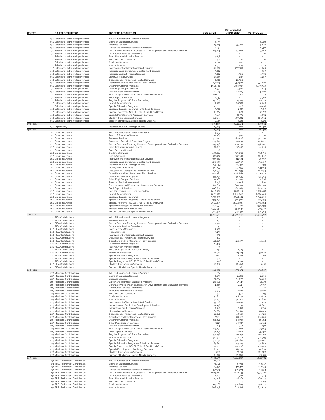| <b>OBJECT</b> | <b>OBJECT DESCRIPTION</b>                                                      | <b>FUNCTION DESCRIPTION</b>                                                                                           | 2020 Actual             | 2021 Amended<br>(March 2021)   | 2022 Proposed            |
|---------------|--------------------------------------------------------------------------------|-----------------------------------------------------------------------------------------------------------------------|-------------------------|--------------------------------|--------------------------|
|               |                                                                                |                                                                                                                       |                         |                                |                          |
|               | 130 Salaries for extra work performed                                          | Adult Education and Literacy Programs                                                                                 | 416                     |                                |                          |
|               | 130 Salaries for extra work performed                                          | Board of Education Services<br><b>Business Services</b>                                                               | 1.553                   |                                | 1,000<br>41,027          |
|               | 130 Salaries for extra work performed<br>130 Salaries for extra work performed | Career and Technical Education Programs                                                                               | 79.665<br>2.234         | 33.000                         | 6.750                    |
|               | 130 Salaries for extra work performed                                          | Central Services- Planning, Research, Development, and Evaluation Services                                            | 64.065                  | 87.807                         | 7.807                    |
|               | 130 Salaries for extra work performed                                          | Community Services Operations                                                                                         | 14                      |                                | 6                        |
|               | 130 Salaries for extra work performed<br>130 Salaries for extra work performed | <b>Executive Administrative Services</b><br>Food Services Operations                                                  | 5.698<br>2.374          | $\overline{\phantom{a}}$<br>36 | 36                       |
|               | 130 Salaries for extra work performed                                          | Guidance Services                                                                                                     | 7.024                   | 972                            | 4.222                    |
|               | 130 Salaries for extra work performed                                          | <b>Health Services</b>                                                                                                | 5.917                   | (543)                          | 15.743                   |
|               | 130 Salaries for extra work performed                                          | Improvement of Instructional Staff Services                                                                           | 44.659                  | 277.365                        | 43.503                   |
|               | 130 Salaries for extra work performed<br>130 Salaries for extra work performed | Instruction and Curriculum Development Services<br>Instructional Staff Training Services                              | 5,202<br>3.062          | 1.306                          | 905<br>2.556             |
|               | 130 Salaries for extra work performed                                          | Library/Media Services                                                                                                | 21.419                  | 287                            | 4.287                    |
|               | 130 Salaries for extra work performed                                          | Occupational Therapy and Related Services                                                                             | 2.370                   | 10,500                         |                          |
|               | 130 Salaries for extra work performed<br>130 Salaries for extra work performed | Operations and Maintenance of Plant Services<br>Other Instructional Programs                                          | 872,815<br>1,606.510    | 752.528<br>1,918,363           | 774.016<br>1,939.943     |
|               | 130 Salaries for extra work performed                                          | Other Pupil Support Services                                                                                          | 1.590                   | (1,500)                        | 1,024                    |
|               | 130 Salaries for extra work performed                                          | Parental/Family Involvement                                                                                           | 44.013                  | 16,185                         | 41,226                   |
|               | 130 Salaries for extra work performed                                          | Psychological and Educational Assessment Services<br><b>Pupil Support Services</b>                                    | 146.221<br>2.057        | (2.750)                        | 167.113                  |
|               | 130 Salaries for extra work performed<br>130 Salaries for extra work performed | Regular Programs- K, Elem, Secondary                                                                                  | 257.619                 | 123.413                        | 13.902<br>252.727        |
|               | 130 Salaries for extra work performed                                          | School Administration                                                                                                 | 47.436                  | 36.787                         | 80,055                   |
|               | 130 Salaries for extra work performed                                          | Special Education Programs                                                                                            | 23.071                  | 7,228                          | 40,018                   |
|               | 130 Salaries for extra work performed<br>130 Salaries for extra work performed | Special Education Programs- Gifted and Talented<br>Special Programs- (NCLB), (Title III), Pre-K, and Other            | 3.520<br>38.574         | 1,185<br>627                   | 7.185<br>36.717          |
|               | 130 Salaries for extra work performed                                          | Speech Pathology and Audiology Services                                                                               | 3.815                   | (2, 176)                       | 2.674                    |
|               | 130 Salaries for extra work performed                                          | <b>Student Transportation Services</b>                                                                                | 268,631                 | 177.484                        | 203.794                  |
|               | 130 Salaries for extra work performed                                          | Support of Individual Special Needs Students                                                                          | 2.569                   | 2.426                          | 2.426                    |
| 130 Total     | 150 Stipend Pay                                                                | Instructional Staff Training Services                                                                                 | 3.564.113<br>15.603     | 3.440.531<br>4.100             | 3.690.661<br>40.45C      |
| 150 Total     |                                                                                |                                                                                                                       | 15.603                  | 4.100                          | 40.45C                   |
|               | 210 Group Insurance                                                            | Adult Education and Literacy Programs                                                                                 | 5.509                   |                                |                          |
|               | 210 Group Insurance<br>210 Group Insurance                                     | Board of Education Services<br><b>Business Services</b>                                                               | 12,369<br>322,201       | 12,500<br>282,526              | 13.070<br>341,000        |
|               | 210 Group Insurance                                                            | Career and Technical Education Programs                                                                               | 279.820                 | 170.934                        | 246.442                  |
|               | 210 Group Insurance                                                            | Central Services- Planning, Research, Development, and Evaluation Services                                            | 539.358                 | 533.734                        | 598.082                  |
|               | 210 Group Insurance                                                            | <b>Executive Administrative Services</b>                                                                              | 55.913                  | 37.542                         | 44.034                   |
|               | 210 Group Insurance<br>210 Group Insurance                                     | Food Services Operations<br>Guidance Services                                                                         | 46<br>499.264           | 517.850                        | 398.179                  |
|               | 210 Group Insurance                                                            | <b>Health Services</b>                                                                                                | 338.179                 | 352.355                        | 394.832                  |
|               | 210 Group Insurance                                                            | Improvement of Instructional Staff Services                                                                           | 307.960                 | 311.334                        | 320.597                  |
|               | 210 Group Insurance                                                            | Instruction and Curriculum Development Services                                                                       | 180,099                 | 142.797                        | 159.105                  |
|               | 210 Group Insurance<br>210 Group Insurance                                     | Instructional Staff Training Services<br>Library/Media Services                                                       | (75.257)<br>581.193     | 21,096<br>603.859              | 7.299<br>633.613         |
|               | 210 Group Insurance                                                            | Occupational Therapy and Related Services                                                                             | 158.951                 | 164.839                        | 188,234                  |
|               | 210 Group Insurance                                                            | Operations and Maintenance of Plant Services                                                                          | 2,112,387               | 2.218.682                      | 2,076.944                |
|               | 210 Group Insurance                                                            | Other Instructional Programs                                                                                          | 355.736                 | 291,639                        | 235.785                  |
|               | 210 Group Insurance<br>210 Group Insurance                                     | Other Pupil Support Services<br>Parental/Family Involvement                                                           | 134.968<br>8,496        | 141,400<br>8.558               | 115.678<br>7.849         |
|               | 210 Group Insurance                                                            | Psychological and Educational Assessment Services                                                                     | 623.875                 | 609.413                        | 689.009                  |
|               | 210 Group Insurance                                                            | Pupil Support Services                                                                                                | 496,602                 | 481.065                        | 624.274                  |
|               | 210 Group Insurance<br>210 Group Insurance                                     | Regular Programs- K, Elem, Secondary<br>School Administration                                                         | 13.065.462<br>3.028,976 | 13.899.141<br>2,962,048        | 13.916.458<br>3.090.494  |
|               | 210 Group Insurance                                                            | Special Education Programs                                                                                            | 5.799.737               | 5.748.201                      | 5.562,699                |
|               | 210 Group Insurance                                                            | Special Education Programs- Gifted and Talented                                                                       | 899.070                 | 916.307                        | 915.193                  |
|               | 210 Group Insurance                                                            | Special Programs- (NCLB), (Title III), Pre-K, and Other                                                               | 2,602,673               | 2.746.105                      | 2.531.904                |
|               | 210 Group Insurance<br>210 Group Insurance                                     | Speech Pathology and Audiology Services<br><b>Student Transportation Services</b>                                     | 804.574<br>1.557.354    | 844.482<br>1,553.042           | 936.699<br>1,789.127     |
|               | 210 Group Insurance                                                            | Support of Individual Special Needs Students                                                                          | 366.426                 | 347.198                        | 468,704                  |
| 210 Total     |                                                                                |                                                                                                                       | 35.061.942              | 35.918.646                     | 36.305.302               |
|               | 220 FICA Contributions<br>220 FICA Contributions                               | Adult Education and Literacy Programs<br><b>Business Services</b>                                                     | 417<br>1,297            |                                |                          |
|               | 220 FICA Contributions                                                         | Central Services- Planning, Research, Development, and Evaluation Services                                            | 2.570                   |                                |                          |
|               | 220 FICA Contributions                                                         | Community Services Operations                                                                                         | 53                      |                                | $\overline{\phantom{a}}$ |
|               | 220 FICA Contributions<br>220 FICA Contributions                               | <b>Food Services Operations</b><br><b>Health Services</b>                                                             | 1,950<br>3.159          |                                |                          |
|               | 220 FICA Contributions                                                         | Improvement of Instructional Staff Services                                                                           | 330                     |                                |                          |
|               | 220 FICA Contributions                                                         | Occupational Therapy and Related Services                                                                             | 474                     |                                |                          |
|               | 220 FICA Contributions<br>220 FICA Contributions                               | Operations and Maintenance of Plant Services                                                                          | 110.687                 | 120,273                        | 110,422                  |
|               | 220 FICA Contributions                                                         | Other Instructional Programs<br>Parental/Family Involvement                                                           | 12,403<br>59            |                                |                          |
|               | 220 FICA Contributions                                                         | Regular Programs- K, Elem, Secondary                                                                                  | 2.150                   | 2.325                          |                          |
|               | 220 FICA Contributions                                                         | School Administration                                                                                                 | 46.781                  | 23.224                         | 32,627                   |
|               | 220 FICA Contributions<br>220 FICA Contributions                               | Special Education Programs<br>Special Education Programs- Gifted and Talented                                         | 14,811<br>716           | 4.117                          | 1.362                    |
|               | 220 FICA Contributions                                                         | Special Programs- (NCLB), (Title III), Pre-K, and Other                                                               | (44)                    | 1.222                          |                          |
|               | 220 EICA Contributions                                                         | <b>Student Transportation Services</b>                                                                                | 18,885                  | 18,408                         | 10,416                   |
| 220 Total     | 220 FICA Contributions                                                         | Support of Individual Special Needs Students                                                                          | 216,698                 | 1.362<br>170.931               |                          |
|               | 225 Medicare Contributions                                                     | Adult Education and Literacy Programs                                                                                 | 834                     |                                | 154.827                  |
|               | 225 Medicare Contributions                                                     | Board of Education Services                                                                                           | 2,639                   | 2,668                          | 2,699                    |
|               | 225 Medicare Contributions                                                     | <b>Business Services</b>                                                                                              | 32.534                  | 30.877                         | 32,803                   |
|               | 225 Medicare Contributions<br>225 Medicare Contributions                       | Career and Technical Education Programs<br>Central Services- Planning, Research, Development, and Evaluation Services | 26,606<br>51,969        | 17.743<br>57.115               | 24.119<br>57.197         |
|               | 225 Medicare Contributions                                                     | Community Services Operations                                                                                         | 22                      | 21                             | 22                       |
|               | 225 Medicare Contributions<br>225 Medicare Contributions                       | <b>Executive Administrative Services</b><br><b>Food Services Operations</b>                                           | 9.347<br>460            | 8,226                          | 9.226<br>28 <sub>9</sub> |
|               | 225 Medicare Contributions                                                     | Guidance Services                                                                                                     | 52.871                  | 570<br>56.352                  | 43.822                   |
|               | 225 Medicare Contributions                                                     | <b>Health Services</b>                                                                                                | 32.492                  | 35.050                         | 51,649                   |
|               | 225 Medicare Contributions                                                     | Improvement of Instructional Staff Services                                                                           | 33.246                  | 40.637                         | 37.024                   |
|               | 225 Medicare Contributions<br>225 Medicare Contributions                       | Instruction and Curriculum Development Services<br>Instructional Staff Training Services                              | 21,996<br>3.346         | 17.735<br>2,817                | 18,802<br>1.719          |
|               | 225 Medicare Contributions                                                     | Library/Media Services                                                                                                | 61,882                  | 65.789                         | 63.813                   |
|               | 225 Medicare Contributions                                                     | Occupational Therapy and Related Services                                                                             | 16.046                  | 18.329                         | 19.320                   |
|               | 225 Medicare Contributions<br>225 Medicare Contributions                       | Operations and Maintenance of Plant Services<br>Other Instructional Programs                                          | 172,211<br>66,070       | 163.128<br>68,199              | 165.559<br>60.704        |
|               | 225 Medicare Contributions                                                     | Other Pupil Support Services                                                                                          | 15.125                  | 16.383                         | 13.924                   |
|               | 225 Medicare Contributions                                                     | Parental/Family Involvement                                                                                           | 845                     | 501                            | 830                      |
|               | 225 Medicare Contributions                                                     | Psychological and Educational Assessment Services                                                                     | 63.870                  | 62,807                         | 75.915                   |
|               | 225 Medicare Contributions<br>225 Medicare Contributions                       | Pupil Support Services<br>Regular Programs- K, Elem, Secondary                                                        | 48,050<br>1.331.456     | 48.168<br>1.517.331            | 59.050<br>1,448.207      |
|               | 225 Medicare Contributions                                                     | School Administration                                                                                                 | 301.310                 | 316,201                        | 321.38 <sub>9</sub>      |
|               | 225 Medicare Contributions                                                     | Special Education Programs                                                                                            | 511.250                 | 526.780                        | 535.402                  |
|               | 225 Medicare Contributions<br>225 Medicare Contributions                       | Special Education Programs- Gifted and Talented<br>Special Programs- (NCLB), (Title III), Pre-K, and Other            | 85.891<br>229.477       | 95.715<br>235.036              | 90,887<br>234.545        |
|               | 225 Medicare Contributions                                                     | Speech Pathology and Audiology Services                                                                               | 81,103                  | 89.715                         | 91,639                   |
|               | 225 Medicare Contributions                                                     | <b>Student Transportation Services</b>                                                                                | 113.116                 | 102,213                        | 133.687                  |
|               | 225 Medicare Contributions                                                     | Support of Individual Special Needs Students                                                                          | 24.595                  | 17.960                         | 29.541                   |
| 225 Total     | 231 TRSL Retirement Contribution                                               | Adult Education and Literacy Programs                                                                                 | 3.390.657<br>14.042     | 3.614.065                      | 3.623.781                |
|               | 231 TRSL Retirement Contribution                                               | Board of Education Services                                                                                           | 51.578                  | 50.398                         | 50.257                   |
|               | 231 TRSL Retirement Contribution                                               | <b>Business Services</b>                                                                                              | 475.958                 | 416,411                        | 440.253                  |
|               | 231 TRSL Retirement Contribution<br>231 TRSL Retirement Contribution           | Career and Technical Education Programs                                                                               | 490.515<br>1,024.640    | 306.904<br>1,016,244           | 414.354                  |
|               | 231 TRSL Retirement Contribution                                               | Central Services- Planning, Research, Development, and Evaluation Services<br>Community Services Operations           | 2,200                   | 382                            | 994.046<br>374           |
|               | 231 TRSL Retirement Contribution                                               | <b>Executive Administrative Services</b>                                                                              | 179.778                 | 146.361                        | 160.345                  |
|               | 231 TRSL Retirement Contribution                                               | Food Services Operations                                                                                              | 618                     | 9                              | 1,103                    |
|               | 231 TRSL Retirement Contribution<br>231 TRSL Retirement Contribution           | Guidance Services<br><b>Health Services</b>                                                                           | 975.166<br>608,298      | 949.893<br>608,168             | 758.377<br>897.624       |
|               |                                                                                |                                                                                                                       |                         |                                |                          |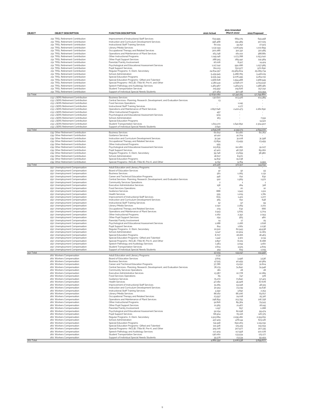| <b>OBJECT</b> | <b>OBJECT DESCRIPTION</b>                                              | <b>FUNCTION DESCRIPTION</b>                                                                                           | 2020 Actual            | 2021 Amended<br>(March 2021) | 2022 Proposed          |
|---------------|------------------------------------------------------------------------|-----------------------------------------------------------------------------------------------------------------------|------------------------|------------------------------|------------------------|
|               | 231 TRSL Retirement Contribution                                       | Improvement of Instructional Staff Services                                                                           |                        |                              |                        |
|               | 231 TRSL Retirement Contribution                                       | Instruction and Curriculum Development Services                                                                       | 633.995<br>396.468     | 669,275<br>291.489           | 643.458<br>307.025     |
|               | 231 TRSL Retirement Contribution                                       | Instructional Staff Training Services                                                                                 | 60,124                 | 44.252                       | 27.923                 |
|               | 231 TRSL Retirement Contribution                                       | Library/Media Services                                                                                                | 1,132,149              | 1,106,929                    | 1,102,859              |
|               | 231 TRSL Retirement Contribution<br>231 TRSL Retirement Contribution   | Occupational Therapy and Related Services                                                                             | 300,286                | 312.332<br>161,102           | 322.485<br>388,881     |
|               | 231 TRSL Retirement Contribution                                       | Operations and Maintenance of Plant Services<br>Other Instructional Programs                                          | 163.748<br>1,149,146   | 1.173.788                    | 1,053.040              |
|               | 231 TRSL Retirement Contribution                                       | Other Pupil Support Services                                                                                          | 288.915                | 289.442                      | 241.984                |
|               | 231 TRSL Retirement Contribution                                       | Parental/Family Involvement                                                                                           | 16,006                 | 8.917                        | 14.424                 |
|               | 231 TRSL Retirement Contribution<br>231 TRSL Retirement Contribution   | Psychological and Educational Assessment Services<br>Pupil Support Services                                           | 1,117,242<br>811,213   | 991,086<br>750.977           | 1,257.985              |
|               | 231 TRSL Retirement Contribution                                       | Regular Programs- K, Elem, Secondary                                                                                  | 24.834.357             | 25.969.604                   | 970,690<br>25.089.734  |
|               | 231 TRSL Retirement Contribution                                       | School Administration                                                                                                 | 5.439.945              | 5.288.765                    | 5.418.109              |
|               | 231 TRSL Retirement Contribution                                       | Special Education Programs                                                                                            | 9.535.344              | 9.076.495                    | 9.264.031              |
|               | 231 TRSL Retirement Contribution                                       | Special Education Programs- Gifted and Talented                                                                       | 1,568,628              | 1,594.488                    | 1,568,949              |
|               | 231 TRSL Retirement Contribution<br>231 TRSL Retirement Contribution   | Special Programs- (NCLB), (Title III), Pre-K, and Other<br>Speech Pathology and Audiology Services                    | 4.382,441<br>1.483.967 | 4.098.177<br>1.483.573       | 4.053.932<br>1,586,981 |
|               | 231 TRSL Retirement Contribution                                       | Student Transportation Services                                                                                       | 215.952                | 219,626                      | 257.242                |
|               | 231 TRSL Retirement Contribution                                       | Support of Individual Special Needs Students                                                                          | 477.364                | 317.138                      | 513.394                |
| 231 Total     |                                                                        |                                                                                                                       | 57.830,082             | 57.342,225                   | 57.799.860             |
|               | 233 LSERS Retirement Contribution<br>233 LSERS Retirement Contribution | <b>Business Services</b>                                                                                              | 130,620                | 103.426                      | 104.389                |
|               | 233 LSERS Retirement Contribution                                      | Central Services- Planning, Research, Development, and Evaluation Services<br>Food Services Operations                | 13                     | 1,245                        |                        |
|               | 233 LSERS Retirement Contribution                                      | Instructional Staff Training Services                                                                                 |                        | 1.177                        |                        |
|               | 233 LSERS Retirement Contribution                                      | Operations and Maintenance of Plant Services                                                                          | 2,897.646              | 2,402,473                    | 2,262,690              |
|               | 233 LSERS Retirement Contribution                                      | Other Instructional Programs                                                                                          | 457                    |                              |                        |
|               | 233 LSERS Retirement Contribution<br>233 LSERS Retirement Contribution | Psychological and Educational Assessment Services<br>School Administration                                            | 509<br>163             |                              | 7.591                  |
|               | 233 LSERS Retirement Contribution                                      | Special Education Programs                                                                                            |                        |                              | 14.522                 |
|               | 233 LSERS Retirement Contribution                                      | Student Transportation Services                                                                                       | 1,613.170              | 1,640.852                    | 2.304.907              |
|               | 233 LSERS Retirement Contribution                                      | Support of Individual Special Needs Students                                                                          | 2,640                  |                              |                        |
| 233 Total     |                                                                        |                                                                                                                       | 4.645.218              | 4.149.173                    | 4.694.100              |
|               | 239 Other Retirement Contribution<br>239 Other Retirement Contribution | <b>Business Services</b><br>Guidance Services                                                                         | 60,612<br>40.412       | 60.180<br>41,704             | 60.762                 |
|               | 239 Other Retirement Contribution                                      | Instruction and Curriculum Development Services                                                                       | 31.341                 | 31,108                       | 31,398                 |
|               | 239 Other Retirement Contribution                                      | Occupational Therapy and Related Services                                                                             | 23.894                 | 23.459                       | 23.459                 |
|               | 239 Other Retirement Contribution                                      | Other Instructional Programs                                                                                          | 955                    |                              |                        |
|               | 239 Other Retirement Contribution                                      | Psychological and Educational Assessment Services                                                                     | 113.835                | 112,280                      | 91.027                 |
|               | 239 Other Retirement Contribution<br>239 Other Retirement Contribution | Pupil Support Services<br>Regular Programs- K, Elem, Secondary                                                        | 47.420<br>39.746       | 46.756<br>23.659             | 89.062<br>38.980       |
|               | 239 Other Retirement Contribution                                      | School Administration                                                                                                 | 18,617                 | 8.970                        | ٠                      |
|               | 239 Other Retirement Contribution                                      | Special Education Programs                                                                                            | 14.832                 | 15.038                       |                        |
|               | 239 Other Retirement Contribution                                      | Special Programs- (NCLB), (Title III), Pre-K, and Other                                                               | 9.752                  | 9.764                        | 9.955                  |
| 239 Total     | 250 Unemployment Compensation                                          | Adult Education and Literacy Programs                                                                                 | 401.416                | 372.917                      | 344.641                |
|               | 250 Unemployment Compensation                                          | Board of Education Services                                                                                           | 13<br>42               | 92                           | 93                     |
|               | 250 Unemployment Compensation                                          | <b>Business Services</b>                                                                                              | 561                    | 1,065                        | 1.131                  |
|               | 250 Unemployment Compensation                                          | Career and Technical Education Programs                                                                               | 446                    | 612                          | 832                    |
|               | 250 Unemployment Compensation                                          | Central Services- Planning, Research, Development, and Evaluation Services                                            | 922                    | 1,969                        | 1.972                  |
|               | 250 Unemployment Compensation<br>250 Unemployment Compensation         | Community Services Operations<br>Executive Administrative Services                                                    | $\overline{c}$<br>158  | $\mathbf{1}$<br>284          | 318                    |
|               | 250 Unemployment Compensation                                          | Food Services Operations                                                                                              | $\mathbf{1}$           | 20                           | 10                     |
|               | 250 Unemployment Compensation                                          | Guidance Services                                                                                                     | 888                    | 1.943                        | 1.511                  |
|               | 250 Unemployment Compensation                                          | <b>Health Services</b>                                                                                                | 555                    | 1,209                        | 1,781                  |
|               | 250 Unemployment Compensation                                          | Improvement of Instructional Staff Services                                                                           | 605                    | 1,401                        | 1.277                  |
|               | 250 Unemployment Compensation<br>250 Unemployment Compensation         | Instruction and Curriculum Development Services<br>Instructional Staff Training Services                              | 365<br>52              | 612<br>97                    | 648<br>59              |
|               | 250 Unemployment Compensation                                          | Library/Media Services                                                                                                | 1,040                  | 2,269                        | 2,201                  |
|               | 250 Unemployment Compensation                                          | Occupational Therapy and Related Services                                                                             | 279                    | 632                          | 666                    |
|               | 250 Unemployment Compensation                                          | Operations and Maintenance of Plant Services                                                                          | 2.943                  | 5.625                        | 5.704                  |
|               | 250 Unemployment Compensation                                          | Other Instructional Programs                                                                                          | 1,062                  | 2.352                        | 2.093                  |
|               | 250 Unemployment Compensation<br>250 Unemployment Compensation         | Other Pupil Support Services<br>Parental/Family Involvement                                                           | 254<br>14              | 565<br>17                    | 48C<br>29              |
|               | 250 Unemployment Compensation                                          | Psychological and Educational Assessment Services                                                                     | 1,088                  | 2,166                        | 2,618                  |
|               | 250 Unemployment Compensation                                          | <b>Pupil Support Services</b>                                                                                         | 814                    | 1,661                        | 2.036                  |
|               | 250 Unemployment Compensation                                          | Regular Programs- K, Elem, Secondary                                                                                  | 22.522                 | 60.943                       | 49.938                 |
|               | 250 Unemployment Compensation                                          | School Administration                                                                                                 | 5.147                  | 10.904                       | 11,083                 |
|               | 250 Unemployment Compensation<br>250 Unemployment Compensation         | Special Education Programs<br>Special Education Programs- Gifted and Talented                                         | 8.707<br>1,442         | 18,166<br>3.301              | 18.463<br>3.134        |
|               | 250 Unemployment Compensation                                          | Special Programs- (NCLB), (Title III), Pre-K, and Other                                                               | 3.897                  | 8,105                        | 8.088                  |
|               | 250 Unemployment Compensation                                          | Speech Pathology and Audiology Services                                                                               | 1.383                  | 3.094                        | 3.160                  |
|               | 250 Unemployment Compensation                                          | Student Transportation Services                                                                                       | 1,604                  | 3.525                        | 4.60g<br>1.019         |
| 250 Total     | 250 Unemployment Compensation                                          | Support of Individual Special Needs Students                                                                          | 419<br>57.224          | 619<br>133.247               | 124.956                |
|               | 260 Workers Compensation                                               | Adult Education and Literacy Programs                                                                                 | 1.131                  |                              |                        |
|               | 260 Workers Compensation                                               | Board of Education Services                                                                                           | 3.605                  | 3.496                        | 3.536                  |
|               | 260 Workers Compensation                                               | <b>Business Services</b>                                                                                              | 47.515                 | 40.459                       | 42.984                 |
|               | 260 Workers Compensation<br>260 Workers Compensation                   | Career and Technical Education Programs<br>Central Services- Planning, Research, Development, and Evaluation Services | 37.786<br>78.170       | 23.250<br>74.840             | 31,604<br>74.948       |
|               | 260 Workers Compensation                                               | Community Services Operations                                                                                         | 181                    | 28                           | 28                     |
|               | 260 Workers Compensation                                               | <b>Executive Administrative Services</b>                                                                              | 13.387                 | 10.778                       | 12,089                 |
|               | 260 Workers Compensation                                               | Food Services Operations                                                                                              | 65                     | 747                          | 378                    |
|               | 260 Workers Compensation                                               | Guidance Services                                                                                                     | 75.272                 | 73.840                       | 57.423                 |
|               | 260 Workers Compensation<br>260 Workers Compensation                   | <b>Health Services</b><br>Improvement of Instructional Staff Services                                                 | 47.082<br>51,265       | 45.928<br>53.248             | 67.678<br>48.515       |
|               | 260 Workers Compensation                                               | Instruction and Curriculum Development Services                                                                       | 30.914                 | 23.239                       | 24.636                 |
|               | 260 Workers Compensation                                               | Instructional Staff Training Services                                                                                 | 4.392                  | 3.692                        | 2.253                  |
|               | 260 Workers Compensation                                               | Library/Media Services                                                                                                | 88.162                 | 86,206                       | 83.617                 |
|               | 260 Workers Compensation<br>260 Workers Compensation                   | Occupational Therapy and Related Services<br>Operations and Maintenance of Plant Services                             | 23.597<br>248,854      | 24.018                       | 25.316<br>216.758      |
|               | 260 Workers Compensation                                               | Other Instructional Programs                                                                                          | 92,816                 | 213.755<br>89.364            | 79.543                 |
|               | 260 Workers Compensation                                               | Other Pupil Support Services                                                                                          | 21,565                 | 21,467                       | 18,245                 |
|               | 260 Workers Compensation                                               | Parental/Family Involvement                                                                                           | 1.197                  | 657                          | 1,088                  |
|               | 260 Workers Compensation                                               | Psychological and Educational Assessment Services                                                                     | 92.254                 | 82,298                       | 99.474                 |
|               | 260 Workers Compensation                                               | Pupil Support Services                                                                                                | 68,904                 | 63.116                       | 126.375                |
|               | 260 Workers Compensation<br>260 Workers Compensation                   | Regular Programs- K, Elem, Secondary<br>School Administration                                                         | 1,913,684<br>437.429   | 2,295,282<br>478.144         | 2.159.831<br>623.126   |
|               | 260 Workers Compensation                                               | Special Education Programs                                                                                            | 741,918                | 690.263                      | 1,119,091              |
|               | 260 Workers Compensation                                               | Special Education Programs- Gifted and Talented                                                                       | 122.426                | 125.419                      | 119.093                |
|               | 260 Workers Compensation                                               | Special Programs- (NCLB), (Title III), Pre-K, and Other                                                               | 329.726                | 307.977                      | 307.335                |
|               | 260 Workers Compensation                                               | Speech Pathology and Audiology Services                                                                               | 117.409                | 117.558                      | 120.078                |
|               | 260 Workers Compensation<br>260 Workers Compensation                   | <b>Student Transportation Services</b><br>Support of Individual Special Needs Students                                | 136,060<br>35.576      | 133.934<br>23.534            | 175.177<br>59.459      |
| 260 Total     |                                                                        |                                                                                                                       | 4.862.352              | 5.106.538                    | 5.699.677              |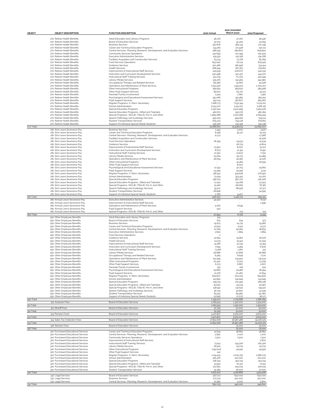| OBJECT    | <b>OBJECT DESCRIPTION</b>                                                | <b>FUNCTION DESCRIPTION</b>                                                                                           | 2020 Actual              | 2021 Amended<br>(March 2021) | 2022 Proposed            |
|-----------|--------------------------------------------------------------------------|-----------------------------------------------------------------------------------------------------------------------|--------------------------|------------------------------|--------------------------|
|           |                                                                          |                                                                                                                       |                          |                              |                          |
|           | 270 Retiree Health Benefits                                              | Adult Education and Literacy Programs                                                                                 | 56,176                   | 27.267                       | 58.446                   |
|           | 270 Retiree Health Benefits<br>270 Retiree Health Benefits               | Board of Education Services<br><b>Business Services</b>                                                               | 41,002<br>357.878        | 45.309<br>365.144            | 42.659<br>372.339        |
|           | 270 Retiree Health Benefits                                              | Career and Technical Education Programs                                                                               | 144.281                  | 171.938                      | 150,111                  |
|           | 270 Retiree Health Benefits<br>270 Retiree Health Benefits               | Central Services- Planning, Research, Development, and Evaluation Services<br>Community Services Operations           | 586.155                  | 582,800                      | 609.840                  |
|           | 270 Retiree Health Benefits                                              | <b>Executive Administrative Services</b>                                                                              | 242,699<br>129.532       | 217.399<br>152.158           | 252.505<br>134.768       |
|           | 270 Retiree Health Benefits                                              | Facilities Acquisition and Construction Services                                                                      | 63.233                   | 73.718                       | 65.789                   |
|           | 270 Retiree Health Benefits<br>270 Retiree Health Benefits               | Food Services Operations<br>Guidance Services                                                                         | 653.040<br>320.466       | 711,114<br>381.596           | 679.425<br>333.414       |
|           | 270 Retiree Health Benefits                                              | <b>Health Services</b>                                                                                                | 268.945                  | 267.163                      | 279.812                  |
|           | 270 Retiree Health Benefits                                              | Improvement of Instructional Staff Services                                                                           | 519.539                  | 506.677                      | 540.532                  |
|           | 270 Retiree Health Benefits<br>270 Retiree Health Benefits               | Instruction and Curriculum Development Services<br>Instructional Staff Training Services                              | 330.998<br>413.734       | 347.437<br>70.705            | 344.370<br>430.449       |
|           | 270 Retiree Health Benefits                                              | Library/Media Services                                                                                                | 329,276                  | 331.963                      | 342.580                  |
|           | 270 Retiree Health Benefits                                              | Occupational Therapy and Related Services                                                                             | 89.366                   | 91,667                       | 92.978                   |
|           | 270 Retiree Health Benefits<br>270 Retiree Health Benefits               | Operations and Maintenance of Plant Services<br>Other Instructional Programs                                          | 1,643,316<br>369.651     | 1.593.112<br>369.647         | 1,709,707<br>384.588     |
|           | 270 Retiree Health Benefits                                              | Other Pupil Support Services                                                                                          | 89,601                   | 83.722                       | 93.221                   |
|           | 270 Retiree Health Benefits                                              | Parental/Family Involvement                                                                                           | 1,905                    | 7.680                        | 1,982                    |
|           | 270 Retiree Health Benefits<br>270 Retiree Health Benefits               | Psychological and Educational Assessment Services<br><b>Pupil Support Services</b>                                    | 351,066<br>350.114       | 351.585<br>361,807           | 365.252<br>364,260       |
|           | 270 Retiree Health Benefits                                              | Regular Programs- K, Elem, Secondary                                                                                  | 7.188.773                | 7.531.394                    | 7.479.201                |
|           | 270 Retiree Health Benefits                                              | School Administration                                                                                                 | 3.043.170                | 3.191.257                    | 3.166,116                |
|           | 270 Retiree Health Benefits<br>270 Retiree Health Benefits               | Special Education Programs<br>Special Education Programs- Gifted and Talented                                         | 3.330.041<br>462.671     | 3.547.999<br>553.176         | 3.464.578<br>481.364     |
|           | 270 Retiree Health Benefits                                              | Special Programs- (NCLB), (Title III), Pre-K, and Other                                                               | 1,989,088                | 2,220,588                    | 2,069.449                |
|           | 270 Retiree Health Benefits                                              | Speech Pathology and Audiology Services                                                                               | 495.205                  | 499.256                      | 515.213                  |
|           | 270 Retiree Health Benefits<br>270 Retiree Health Benefits               | <b>Student Transportation Services</b><br>Support of Individual Special Needs Students                                | 679.373<br>146.326       | 753.138<br>130.158           | 706,821<br>152,238       |
| 270 Total |                                                                          |                                                                                                                       | 24.686,621               | 25.538.574                   | 25.684.007               |
|           | 281 Sick Leave Severance Pay                                             | <b>Business Services</b>                                                                                              | 2.493                    | 5.000                        | 3.970                    |
|           | 281 Sick Leave Severance Pay<br>281 Sick Leave Severance Pay             | Career and Technical Education Programs<br>Central Services- Planning, Research, Development, and Evaluation Services | 8,198<br>11.137          | 34.127                       | 19.105<br>17.966         |
|           | 281 Sick Leave Severance Pay                                             | Facilities Acquisition and Construction Services                                                                      |                          |                              | 16.408                   |
|           | 281 Sick Leave Severance Pay                                             | Food Services Operations                                                                                              | 28.395                   | 34.933                       | 15.534                   |
|           | 281 Sick Leave Severance Pay<br>281 Sick Leave Severance Pay             | Guidance Services<br>Improvement of Instructional Staff Services                                                      | 23.552                   | 28.733<br>8.000              | 12,804<br>13.102         |
|           | 281 Sick Leave Severance Pay                                             | Instruction and Curriculum Development Services                                                                       | 8.673                    | 21.351                       | 8,450                    |
|           | 281 Sick Leave Severance Pay                                             | Instructional Staff Training Services                                                                                 | 17.350                   | 23.637                       | 7.750                    |
|           | 281 Sick Leave Severance Pay<br>281 Sick Leave Severance Pay             | Library/Media Services<br>Operations and Maintenance of Plant Services                                                | 23.064<br>46.634         | 59.173<br>92.581             | 24.489<br>31,026         |
|           | 281 Sick Leave Severance Pay                                             | Other Instructional Programs                                                                                          |                          | 41.484                       | 18.559                   |
|           | 281 Sick Leave Severance Pay                                             | Other Pupil Support Services                                                                                          | ×.                       | 8,000                        |                          |
|           | 281 Sick Leave Severance Pay<br>281 Sick Leave Severance Pay             | Psychological and Educational Assessment Services                                                                     | 17.433                   | 30.723                       | 29.661                   |
|           | 281 Sick Leave Severance Pay                                             | <b>Pupil Support Services</b><br>Regular Programs- K, Elem, Secondary                                                 | 53.484<br>318.542        | 29.258<br>919.638            | 4.231<br>276.550         |
|           | 281 Sick Leave Severance Pay                                             | School Administration                                                                                                 | 71,529                   | 353.425                      | 111.262                  |
|           | 281 Sick Leave Severance Pay                                             | Special Education Programs                                                                                            | 138.074                  | 382.720                      | 146.308                  |
|           | 281 Sick Leave Severance Pay<br>281 Sick Leave Severance Pay             | Special Education Programs- Gifted and Talented<br>Special Programs- (NCLB), (Title III), Pre-K, and Other            | 17.240<br>51,462         | 114.168<br>181.816           | 52.923<br>78.381         |
|           | 281 Sick Leave Severance Pay                                             | Speech Pathology and Audiology Services                                                                               | 59.127                   | 68.556                       | 22.377                   |
|           | 281 Sick Leave Severance Pay<br>281 Sick Leave Severance Pay             | <b>Student Transportation Services</b><br>Support of Individual Special Needs Students                                | 28,898<br>2.766          | 9.407                        | 54.595                   |
| 281 Total |                                                                          |                                                                                                                       | 928,050                  | 2.446.731                    | 965.451                  |
|           | 282 Annual Leave Severance Pay                                           | <b>Executive Administrative Services</b>                                                                              | 42,402                   | $\overline{\phantom{a}}$     | 6.137                    |
|           | 282 Annual Leave Severance Pav                                           | Improvement of Instructional Staff Services                                                                           | 5.062                    |                              | 2.999                    |
|           | 282 Annual Leave Severance Pay<br>282 Annual Leave Severance Pay         | Operations and Maintenance of Plant Services<br>Pupil Support Services                                                | 530                      | 8.545                        |                          |
|           | 282 Annual Leave Severance Pay                                           | Special Programs- (NCLB), (Title III), Pre-K, and Other                                                               |                          | 213                          | 21°                      |
| 282 Total | 290 Other Employee Benefits                                              | Adult Education and Literacy Programs                                                                                 | 47.994                   | 8.758                        | 9.349                    |
|           | 290 Other Employee Benefits                                              | Board of Education Services                                                                                           | 315<br>622               | 624                          | 373                      |
|           | 290 Other Employee Benefits                                              | <b>Business Services</b>                                                                                              | 15.675                   | 14.732                       | 15.980                   |
|           | 290 Other Employee Benefits<br>290 Other Employee Benefits               | Career and Technical Education Programs<br>Central Services- Planning, Research, Development, and Evaluation Services | 12,904<br>27.169         | 9.152                        | 11.571                   |
|           | 290 Other Employee Benefits                                              | <b>Executive Administrative Services</b>                                                                              | 2,650                    | 29.064<br>1,884              | 28.833<br>1,884          |
|           | 290 Other Employee Benefits                                              | Food Services Operations                                                                                              | $\overline{\mathbf{c}}$  |                              |                          |
|           | 290 Other Employee Benefits<br>290 Other Employee Benefits               | Guidance Services<br><b>Health Services</b>                                                                           | 22,652<br>14.013         | 25,861<br>15.913             | 18,026<br>22.309         |
|           | 290 Other Employee Benefits                                              | Improvement of Instructional Staff Services                                                                           | 14.186                   | 14.745                       | 14.355                   |
|           | 290 Other Employee Benefits                                              | Instruction and Curriculum Development Services                                                                       | 7.695                    | 5.984                        | 6,608                    |
|           | 200 Other Employee Benefits<br>290 Other Employee Benefits               | Instructional Staff Training Services<br>Library/Media Services                                                       | (3.181)<br>28,888        | 1.260<br>27,668              | 312<br>26,868            |
|           | 290 Other Employee Benefits                                              | Occupational Therapy and Related Services                                                                             | 6,469                    | 6,646                        | 7.270                    |
|           | 290 Other Employee Benefits                                              | Operations and Maintenance of Plant Services                                                                          | 142.595                  | 134.940                      | 132.533                  |
|           | 290 Other Employee Benefits                                              | Other Instructional Programs                                                                                          | 20,440                   | 17.501<br>6,867              | 13.799                   |
|           | 290 Other Employee Benefits<br>290 Other Employee Benefits               | Other Pupil Support Services<br>Parental/Family Involvement                                                           | 6.373<br>315             | 218                          | 5.607<br>19 <sup>c</sup> |
|           | 290 Other Employee Benefits                                              | Psychological and Educational Assessment Services                                                                     | 25,680                   | 25.486                       | 28.994                   |
|           | 290 Other Employee Benefits<br>290 Other Employee Benefits               | Pupil Support Services<br>Regular Programs- K, Elem, Secondary                                                        | 21,276<br>605.607        | 20,460<br>674.705            | 27.694<br>654.906        |
|           | 290 Other Employee Benefits                                              | School Administration                                                                                                 | 143.891                  | 142.949                      | 143.549                  |
|           | 290 Other Employee Benefits                                              | Special Education Programs                                                                                            | 299.119                  | 275.495                      | 285.248                  |
|           | 290 Other Employee Benefits<br>290 Other Employee Benefits               | Special Education Programs- Gifted and Talented<br>Special Programs- (NCLB), (Title III), Pre-K, and Other            | 40,630<br>148.551        | 43.035<br>141,642            | 40.987<br>139.417        |
|           | 290 Other Employee Benefits                                              | Speech Pathology and Audiology Services                                                                               | 36.732                   | 40,802                       | 40.519                   |
|           | 290 Other Employee Benefits                                              | <b>Student Transportation Services</b>                                                                                | 84.197                   | 84.980                       | 92,080                   |
| 290 Total | 290 Other Employee Benefits                                              | Support of Individual Special Needs Students                                                                          | 23.646<br>1,749.107      | 17.076<br>1.779.688          | 28.177<br>1,788,089      |
|           | 311 Assessor Fees                                                        | Board of Education Services                                                                                           | 1,284.919                | 1,322,000                    | 1,324,000                |
| 311 Total |                                                                          |                                                                                                                       | 1,284.919                | 1,322,000                    | 1,324,000                |
| 312 Total | 312 Sheriff Fees                                                         | Board of Education Services                                                                                           | 52.325                   | 52,000                       | 52,000                   |
|           | 313 Pension Fund                                                         | Board of Education Services                                                                                           | 52,325<br>3.471.827      | 52,000<br>3.579.000          | 52,000<br>3.603.000      |
| 313 Total |                                                                          |                                                                                                                       | 3.471.827                | 3.579.000                    | 3.603.000                |
| 314 Total | 314 Sales Tax Collection Fees                                            | Board of Education Services                                                                                           | 17.891,628<br>17,891,628 | 18.987.488<br>18.987.488     | 19.026.375<br>19.026.375 |
|           | 316 Election Fees                                                        | Board of Education Services                                                                                           |                          | 75,000                       | 75.000                   |
| 316 Total |                                                                          |                                                                                                                       |                          | 75,000                       | 75.000                   |
|           | 320 Purchased Educational Services<br>320 Purchased Educational Services | Career and Technical Education Programs<br>Central Services- Planning, Research, Development, and Evaluation Services | 41.645<br>4.850          | 48.884<br>2,000              | 48.884<br>1,000          |
|           | 320 Purchased Educational Services                                       | Community Services Operations                                                                                         | 7.500                    | 7.500                        | 7.500                    |
|           | 320 Purchased Educational Services                                       | Improvement of Instructional Staff Services                                                                           |                          |                              | 5.600                    |
|           | 320 Purchased Educational Services<br>320 Purchased Educational Services | Instructional Staff Training Services<br>Library/Media Services                                                       | 73.251<br>18.505         | 159.306<br>29.779            | 162.306<br>29.779        |
|           | 320 Purchased Educational Services                                       | Other Instructional Programs                                                                                          | (139,004)                | 94.942                       | 94.942                   |
|           | 320 Purchased Educational Services                                       | Other Pupil Support Services                                                                                          | 242                      |                              |                          |
|           | 320 Purchased Educational Services<br>320 Purchased Educational Services | Regular Programs- K, Elem, Secondary<br>School Administration                                                         | 1.134.543                | 2.005.375<br>100,000         | 2,386,075<br>100,000     |
|           | 320 Purchased Educational Services                                       | Special Education Programs                                                                                            | 326,476<br>238.334       | 353.744                      | 353.744                  |
|           | 320 Purchased Educational Services                                       | Special Education Programs- Gifted and Talented                                                                       | 43.552                   | 70,257                       | 71,257                   |
|           | 320 Purchased Educational Services<br>320 Purchased Educational Services | Special Programs- (NCLB), (Title III), Pre-K, and Other<br><b>Student Transportation Services</b>                     | 102,822                  | 229.079                      | 226,079                  |
| 320 Total |                                                                          |                                                                                                                       | 19.385<br>1,872,100      | 26,000<br>3.126,866          | 37.000<br>3.524.166      |
|           | 332 Legal Services                                                       | Board of Education Services                                                                                           | 567.717                  | 640,000                      | 640,000                  |
|           | 332 Legal Services                                                       | <b>Business Services</b>                                                                                              | 273.732                  | 300,000                      | 300,000                  |
| 332 Total | 332 Legal Services                                                       | Central Services- Planning, Research, Development, and Evaluation Services                                            | 10.584<br>852.033        | 5.000<br>945,000             | 5.800<br>945,800         |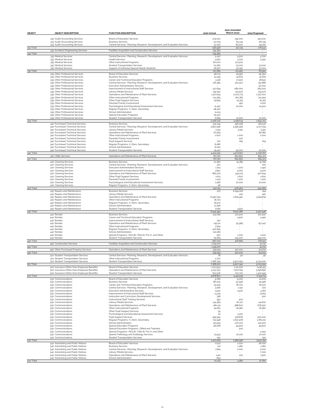| OBJECT    | <b>OBJECT DESCRIPTION</b>                                                                       | <b>FUNCTION DESCRIPTION</b>                                                                                                           | 2020 Actual            | 2021 Amended<br>(March 2021) | 2022 Proposed          |
|-----------|-------------------------------------------------------------------------------------------------|---------------------------------------------------------------------------------------------------------------------------------------|------------------------|------------------------------|------------------------|
|           | 333 Audit/Accounting Services<br>333 Audit/Accounting Services<br>333 Audit/Accounting Services | Board of Education Services<br><b>Business Services</b><br>Central Services- Planning, Research, Development, and Evaluation Services | 179.000<br>20,709      | 159.000<br>69.745<br>83.000  | 150,000<br>66.745      |
| 333 Total |                                                                                                 |                                                                                                                                       | 57.247<br>256,956      | 311.745                      | 59.797<br>276.542      |
|           | 334 Architect/Engineering Services                                                              | Facilities Acquisition and Construction Services                                                                                      | 239.384<br>239.384     | $\sim$                       | $\sim$                 |
| 334 Total | 335 Medical Services                                                                            | Central Services- Planning, Research, Development, and Evaluation Services                                                            | 5.097                  | 5.500                        | 4.700                  |
|           | 335 Medical Services                                                                            | <b>Health Services</b>                                                                                                                | 3.640                  | 5.100                        | 5.250                  |
|           | 335 Medical Services<br>335 Medical Services                                                    | Other Instructional Programs<br><b>Student Transportation Services</b>                                                                | 80,000<br>20,280       | 127.500<br>23,000            | 23,000                 |
|           | 335 Medical Services                                                                            | Support of Individual Special Needs Students                                                                                          | 28.567                 | 52.350                       | 51,000                 |
| 335 Total | 339 Other Professional Services                                                                 | Board of Education Services                                                                                                           | 137.584<br>96.173      | 213.450<br>93.550            | 83.950<br>95.050       |
|           | 339 Other Professional Services                                                                 | <b>Business Services</b>                                                                                                              | 41,299                 | 42,875                       | 42,875                 |
|           | 339 Other Professional Services<br>339 Other Professional Services                              | Career and Technical Education Programs<br>Central Services- Planning, Research, Development, and Evaluation Services                 | 3.136<br>176.485       | 17.900<br>302.407            | 18,640<br>151,886      |
|           | 339 Other Professional Services                                                                 | <b>Executive Administrative Services</b>                                                                                              |                        |                              | 50,000                 |
|           | 339 Other Professional Services<br>339 Other Professional Services                              | Improvement of Instructional Staff Services<br>Library/Media Services                                                                 | 147.694<br>139.052     | 286,000<br>153.570           | 283.000<br>153.570     |
|           | 339 Other Professional Services                                                                 | Operations and Maintenance of Plant Services                                                                                          | 1,471,634              | 2,002,773                    | 1.797.007              |
|           | 339 Other Professional Services<br>339 Other Professional Services                              | Other Instructional Programs<br>Other Pupil Support Services                                                                          | 174.265<br>15.895      | 261,785<br>15.325            | 211,905<br>15.325      |
|           | 339 Other Professional Services                                                                 | Parental/Family Involvement                                                                                                           |                        | 450                          | 1,000                  |
|           | 339 Other Professional Services<br>339 Other Professional Services                              | Psychological and Educational Assessment Services<br>Regular Programs- K, Elem, Secondary                                             | 11,457<br>48.430       | 10,000                       | 14.500                 |
|           | 339 Other Professional Services                                                                 | School Administration                                                                                                                 | 11,215                 | $\sim$                       | ٠                      |
|           | 339 Other Professional Services                                                                 | Special Education Programs                                                                                                            | 65.310                 |                              |                        |
| 339 Total | 339 Other Professional Services                                                                 | Student Transportation Services                                                                                                       | 6,685<br>2,408,730     | 12,000<br>3.198.634          | 10,000<br>2.844.757    |
|           | 340 Purchased Technical Services                                                                | <b>Business Services</b>                                                                                                              | 432.334                | 456,096                      | 463.147                |
|           | 340 Purchased Technical Services<br>340 Purchased Technical Services                            | Central Services- Planning, Research, Development, and Evaluation Services<br>Library/Media Services                                  | 3.857.936<br>3.791     | 4.456.596<br>4.150           | 5.177.794<br>5.150     |
|           | 340 Purchased Technical Services                                                                | Operations and Maintenance of Plant Services                                                                                          | 67.569                 |                              | 80.881                 |
|           | 340 Purchased Technical Services<br>340 Purchased Technical Services                            | Other Instructional Programs<br>Parental/Family Involvement                                                                           | 1,000                  | 1,000<br>200                 | 1,000                  |
|           | 340 Purchased Technical Services                                                                | <b>Pupil Support Services</b>                                                                                                         | 720                    | 815                          | 815                    |
|           | 340 Purchased Technical Services<br>340 Purchased Technical Services                            | Regular Programs- K, Elem, Secondary<br>School Administration                                                                         | 8,086<br>8,062         |                              |                        |
|           | 340 Purchased Technical Services                                                                | <b>Student Transportation Services</b>                                                                                                | 25.427                 | 55.000                       | 20,000                 |
| 340 Total | 410 Utility Services                                                                            | Operations and Maintenance of Plant Services                                                                                          | 4.404.925              | 4.973.857                    | 5.748.787              |
| 410 Total |                                                                                                 |                                                                                                                                       | 767.161<br>767.161     | 852,850<br>852,850           | 855.373<br>855.373     |
|           | 420 Cleaning Services                                                                           | <b>Business Services</b>                                                                                                              | 12.380                 | 15.785                       | 15.785                 |
|           | 420 Cleaning Services<br>420 Cleaning Services                                                  | Central Services- Planning, Research, Development, and Evaluation Services<br><b>Executive Administrative Services</b>                | 370<br>1,104           | 1,200                        | 700<br>1,440           |
|           | 420 Cleaning Services                                                                           | Improvement of Instructional Staff Services                                                                                           | 3.857                  | 4.000                        | 4.000                  |
|           | 420 Cleaning Services<br>420 Cleaning Services                                                  | Operations and Maintenance of Plant Services<br>Other Pupil Support Services                                                          | 882,202<br>1,613       | 943.175<br>1,600             | 907.644<br>1,600       |
|           | 420 Cleaning Services                                                                           | Parental/Family Involvement                                                                                                           | 1,104                  | 1,200                        | 1,200                  |
|           | 420 Cleaning Services<br>420 Cleaning Services                                                  | Psychological and Educational Assessment Services<br>Regular Programs- K, Elem, Secondary                                             | 7.466<br>56            | 10,000                       | 10,000                 |
| 420 Total |                                                                                                 |                                                                                                                                       | 910.151                | 976,960                      | 942.369                |
|           | 430 Repairs and Maintenance<br>430 Repairs and Maintenance                                      | <b>Business Services</b><br>Library/Media Services                                                                                    | 473                    | 6,299.016<br>420             | 294<br>420             |
|           | 430 Repairs and Maintenance                                                                     | Operations and Maintenance of Plant Services                                                                                          | 6.490.054              | 2,619,450                    | 5.919.832              |
|           | 430 Repairs and Maintenance                                                                     | Other Instructional Programs                                                                                                          | 16.722                 |                              |                        |
|           | 430 Repairs and Maintenance<br>430 Repairs and Maintenance                                      | Regular Programs- K, Elem, Secondary<br>School Administration                                                                         | 18.972<br>11,096       |                              |                        |
|           | 430 Repairs and Maintenance                                                                     | Student Transportation Services                                                                                                       | 8,181                  | 3.500                        |                        |
| 430 Total | 440 Rentals                                                                                     | <b>Business Services</b>                                                                                                              | 6.545.499<br>124.084   | 8,922,386<br>120,400         | 5.920.546<br>120,400   |
|           | 440 Rentals                                                                                     | Career and Technical Education Programs                                                                                               |                        | 4.500                        | 4.450                  |
|           | 440 Rentals<br>440 Rentals                                                                      | Improvement of Instructional Staff Services<br>Operations and Maintenance of Plant Services                                           | 150<br>155.111         | 55.985                       | 157.447                |
|           | 440 Rentals                                                                                     | Other Instructional Programs                                                                                                          | 3.654                  |                              |                        |
|           | 440 Rentals<br>440 Rentals                                                                      | Regular Programs- K, Elem, Secondary<br>School Administration                                                                         | 402.835<br>222,281     | $\overline{\phantom{a}}$     | $\sim$                 |
|           | 440 Rentals                                                                                     | Special Programs- (NCLB), (Title III), Pre-K, and Other                                                                               | 300                    | 1,000                        | 1,000                  |
| 440 Total | 440 Rentals                                                                                     | <b>Student Transportation Services</b>                                                                                                | 79.289<br>987.703      | 145.000<br>326,885           | 445.000<br>728,297     |
|           | 450 Construction Services                                                                       | Facilities Acquisition and Construction Services                                                                                      | 1,219,170              |                              | 31.737                 |
| 450 Total |                                                                                                 |                                                                                                                                       | 1,219,170              |                              | 31.737                 |
| 490 Total | 490 Other Purchased Property Services                                                           | Operations and Maintenance of Plant Services                                                                                          | 339.294<br>339.294     | 320,200<br>320,200           | 314.631<br>314.631     |
|           | 510 Student Transportation Services                                                             | Central Services- Planning, Research, Development, and Evaluation Services                                                            | 78                     | 90                           | 90                     |
|           | 510 Student Transportation Services<br>510 Student Transportation Services                      | Other Instructional Programs<br><b>Student Transportation Services</b>                                                                | 1,700<br>7.366.795     | 9.507.250                    | $\sim$<br>9.713.000    |
| 510 Total |                                                                                                 |                                                                                                                                       | 7.368.572              | 9.507.340                    | 9.713.090              |
|           | than Employee<br>520 Insurance (Other than Employee Benefits)                                   | Operations and Maintenance of Plant Services                                                                                          | 1,023.514<br>3.233.790 | 1,111,200<br>7.627.615       | 1.436.913<br>3.296.856 |
|           | 520 Insurance (Other than Employee Benefits)                                                    | <b>Student Transportation Services</b>                                                                                                | 621,506                | 702.720                      | 1,420.945              |
| 520 Total | 530 Communications                                                                              | Board of Education Services                                                                                                           | 4,878,810<br>9.785     | 9.441.535<br>9,000           | 6,154,714<br>12,000    |
|           | 530 Communications                                                                              | <b>Business Services</b>                                                                                                              | 86,005                 | 97.596                       | 92.596                 |
|           | 530 Communications<br>530 Communications                                                        | Career and Technical Education Programs<br>Central Services- Planning, Research, Development, and Evaluation Services                 | 29.091<br>5.816        | 78,700<br>1,150              | 78,020<br>100          |
|           | 530 Communications                                                                              | Executive Administrative Services                                                                                                     | 3.520                  | 3.500                        | 4.160                  |
|           | 530 Communications<br>530 Communications                                                        | Improvement of Instructional Staff Services<br>Instruction and Curriculum Development Services                                        | 13.315                 | $\sim$                       | 13.815<br>500          |
|           | 530 Communications                                                                              | Instructional Staff Training Services                                                                                                 | 798<br>594             | 500                          |                        |
|           | 530 Communications                                                                              | Library/Media Services                                                                                                                | 144.389                | 87.217                       | 141,610                |
|           | 530 Communications<br>530 Communications                                                        | Operations and Maintenance of Plant Services<br>Other Instructional Programs                                                          | 481.131<br>19,260      | 388,600<br>18.380            | 678,500<br>18.380      |
|           | 530 Communications                                                                              | Other Pupil Support Services                                                                                                          | 55                     |                              |                        |
|           | 530 Communications<br>530 Communications                                                        | Psychological and Educational Assessment Services<br>Pupil Support Services                                                           | 52<br>495.954          | 3.300<br>518.876             | $\sim$<br>520,000      |
|           | 530 Communications                                                                              | Regular Programs- K, Elem, Secondary                                                                                                  | 732.948                | 1,637.978                    | 1,781,210              |
|           | 530 Communications<br>530 Communications                                                        | School Administration                                                                                                                 | 323.515                | 470,100                      | 125.300                |
|           | 530 Communications                                                                              | Special Education Programs<br>Special Education Programs- Gifted and Talented                                                         | 48.068                 | 49.900<br>500                | 49.900                 |
|           | 530 Communications                                                                              | Special Programs- (NCLB), (Title III), Pre-K, and Other                                                                               |                        |                              | 4.050                  |
|           | 530 Communications<br>530 Communications                                                        | Speech Pathology and Audiology Services<br><b>Student Transportation Services</b>                                                     | 23.543<br>140          | 20.100                       | 20,100<br>150          |
| 530 Total |                                                                                                 |                                                                                                                                       | 2.417.979              | 3.385.396                    | 3.540.391              |
|           | 540 Advertising and Public Notices<br>540 Advertising and Public Notices                        | Board of Education Services<br><b>Business Services</b>                                                                               | 6,122<br>112           | 1.000<br>1,280               | 26,000<br>1,280        |
|           | 540 Advertising and Public Notices                                                              | Central Services- Planning, Research, Development, and Evaluation Services                                                            | 1,824                  | 2,000                        | 2,000                  |
|           | 540 Advertising and Public Notices<br>540 Advertising and Public Notices                        | Library/Media Services<br>Operations and Maintenance of Plant Services                                                                | 1.411                  | 100                          | 7.000<br>1,500         |
|           | 540 Advertising and Public Notices                                                              | School Administration                                                                                                                 | 659                    |                              |                        |
| 540 Total |                                                                                                 |                                                                                                                                       | 10,129                 | 4.380                        | 37.780                 |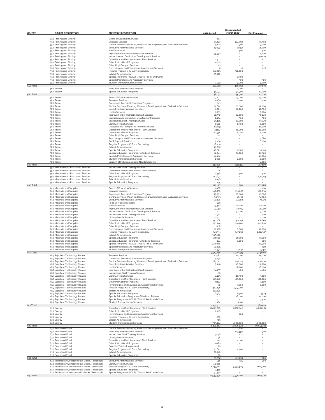|               |                                                                                                |                                                                                                |                     | 2021 Amended<br>(March 2021) |                          |
|---------------|------------------------------------------------------------------------------------------------|------------------------------------------------------------------------------------------------|---------------------|------------------------------|--------------------------|
| <b>OBJECT</b> | <b>OBJECT DESCRIPTION</b>                                                                      | <b>FUNCTION DESCRIPTION</b>                                                                    | 2020 Actual         |                              | 2022 Proposed            |
|               | 550 Printing and Binding                                                                       | Board of Education Services                                                                    | 651                 |                              |                          |
|               | 550 Printing and Binding                                                                       | <b>Business Services</b>                                                                       | 25.207              | 104.990                      | 55.590                   |
|               | 550 Printing and Binding                                                                       | Central Services- Planning, Research, Development, and Evaluation Services                     | 4.802               | 4.300                        | 3.000                    |
|               | 550 Printing and Binding                                                                       | Executive Administrative Services                                                              | 13.699              | 21,150                       | 21.000                   |
|               | 550 Printing and Binding                                                                       | <b>Health Services</b><br>Improvement of Instructional Staff Services                          |                     | 500                          | 500                      |
|               | 550 Printing and Binding<br>550 Printing and Binding                                           | Instruction and Curriculum Development Services                                                | 95.550              |                              | 4,600<br>159.901         |
|               | 550 Printing and Binding                                                                       | Operations and Maintenance of Plant Services                                                   | 2.302               |                              |                          |
|               | 550 Printing and Binding                                                                       | Other Instructional Programs                                                                   | 4.400               |                              | ×.                       |
|               | 550 Printing and Binding                                                                       | Other Pupil Support Services                                                                   | 70                  |                              |                          |
|               | 550 Printing and Binding                                                                       | Psychological and Educational Assessment Services                                              | 5                   | 10                           | 525                      |
|               | 550 Printing and Binding                                                                       | Regular Programs- K, Elem, Secondary                                                           | 216,005             | 312,000                      |                          |
|               | 550 Printing and Binding<br>550 Printing and Binding                                           | School Administration<br>Special Programs- (NCLB), (Title III), Pre-K, and Other               | 25.070              | 2,500                        |                          |
|               | 550 Printing and Binding                                                                       | Speech Pathology and Audiology Services                                                        |                     | 500                          | 500                      |
|               | 550 Printing and Binding                                                                       | <b>Student Transportation Services</b>                                                         | 4.292               | 3.000                        | 5.000                    |
| 550 Total     |                                                                                                |                                                                                                | 392.053             | 448.950                      | 250,616                  |
|               | 560 Tuition                                                                                    | <b>Executive Administrative Services</b>                                                       |                     | 1,000                        |                          |
|               | 560 Tuition                                                                                    | <b>Special Education Programs</b>                                                              | 38.074              | 54.900                       | 20,000                   |
| 560 Total     |                                                                                                |                                                                                                | 38.074              | 55.900                       | 20,000                   |
|               | 580 Travel<br>580 Travel                                                                       | Board of Education Services<br><b>Business Services</b>                                        | 17,821<br>7.069     | 27,000<br>4.100              | 27,000<br>7.100          |
|               | 580 Travel                                                                                     | Career and Technical Education Programs                                                        | 843                 |                              |                          |
|               | 580 Travel                                                                                     | Central Services- Planning, Research, Development, and Evaluation Services                     | 29.652              | 20,000                       | 42,000                   |
|               | 580 Travel                                                                                     | <b>Executive Administrative Services</b>                                                       | 8,081               | 10,200                       | 10,500                   |
|               | 580 Travel                                                                                     | <b>Health Services</b>                                                                         | 5.233               |                              | 3.000                    |
|               | 580 Travel                                                                                     | Improvement of Instructional Staff Services                                                    | 41.750              | 68,000                       | 38,240                   |
|               | 580 Travel                                                                                     | Instruction and Curriculum Development Services                                                | 2.494               | 500                          | 500                      |
|               | 580 Travel                                                                                     | Instructional Staff Training Services                                                          | 21,495              | 20,000                       | 13.440                   |
|               | 580 Travel                                                                                     | Library/Media Services                                                                         | 6,506               | 6,500                        | 6.000                    |
|               | 580 Travel                                                                                     | Occupational Therapy and Related Services                                                      | 12,663              |                              | 14,000                   |
|               | 580 Travel                                                                                     | Operations and Maintenance of Plant Services                                                   | 13.137              | 15.500                       | 15,000                   |
|               | 580 Travel                                                                                     | Other Instructional Programs                                                                   | 10.558              | 8,000                        | 4.000                    |
|               | 580 Travel<br>580 Travel                                                                       | Other Pupil Support Services<br>Psychological and Educational Assessment Services              | 122<br>12.217       |                              | 7.680                    |
|               | 580 Travel                                                                                     | Pupil Support Services                                                                         | 5.309               |                              | 6,000                    |
|               | 580 Travel                                                                                     | Regular Programs- K, Elem, Secondary                                                           | 28.409              |                              |                          |
|               | 580 Travel                                                                                     | School Administration                                                                          | 16.785              |                              |                          |
|               | 580 Travel                                                                                     | Special Education Programs                                                                     | 18.681              | 130.515                      | 30,120                   |
|               | 580 Travel                                                                                     | Special Education Programs- Gifted and Talented                                                | 12,041              | 36,000                       | 20,520                   |
|               | 580 Travel                                                                                     | Speech Pathology and Audiology Services                                                        | 42,184              |                              | 46,000                   |
|               | 580 Travel                                                                                     | <b>Student Transportation Services</b>                                                         | 1,986               | 2,000                        | 2,000                    |
|               | 580 Travel                                                                                     | Support of Individual Special Needs Students                                                   |                     |                              | 4.000                    |
| 580 Total     |                                                                                                |                                                                                                | 315.036             | 348.315                      | 297.100                  |
|               | 590 Miscellaneous Purchased Services                                                           | Instructional Staff Training Services                                                          | 220                 |                              |                          |
|               | 590 Miscellaneous Purchased Services<br>590 Miscellaneous Purchased Services                   | Operations and Maintenance of Plant Services<br>Other Instructional Programs                   | 28                  |                              |                          |
|               | 590 Miscellaneous Purchased Services                                                           | Regular Programs- K, Elem, Secondary                                                           | 2.356<br>120.692    | 1,500                        | 1,500<br>270.783         |
|               | 590 Miscellaneous Purchased Services                                                           | School Administration                                                                          | 1,996               |                              |                          |
|               | 590 Miscellaneous Purchased Services                                                           | Special Education Programs                                                                     | 135                 |                              |                          |
| 590 Total     |                                                                                                |                                                                                                | 125.427             | 1,500                        | 272,283                  |
|               | 610 Materials and Supplies                                                                     | Board of Education Services                                                                    | 5.988               |                              | 12,100                   |
|               | 610 Materials and Supplies                                                                     | <b>Business Services</b>                                                                       | 190.858             | 139.657                      | 190.030                  |
|               | 610 Materials and Supplies                                                                     | Career and Technical Education Programs                                                        | 75.933              | 37.690                       | 43.006                   |
|               | 610 Materials and Supplies                                                                     | Central Services- Planning, Research, Development, and Evaluation Services                     | 55.313              | 15.130                       | 54.709                   |
|               | 610 Materials and Supplies                                                                     | <b>Executive Administrative Services</b>                                                       | 42.156              | 24.388                       | 70.471                   |
|               | 610 Materials and Supplies                                                                     | Food Services Operations                                                                       | 509                 |                              |                          |
|               | 610 Materials and Supplies                                                                     | <b>Health Services</b>                                                                         | 23.462              | 18,420                       | 18,226                   |
|               | 610 Materials and Supplies<br>610 Materials and Supplies                                       | Improvement of Instructional Staff Services<br>Instruction and Curriculum Development Services | 27.052              | 16,015<br>190,000            | 20,020<br>3.000          |
|               | 610 Materials and Supplies                                                                     | Instructional Staff Training Services                                                          | 2,901               |                              | 600                      |
|               | 610 Materials and Supplies                                                                     | Library/Media Services                                                                         | 22,921              |                              | 1,000                    |
|               | 610 Materials and Supplies                                                                     | Operations and Maintenance of Plant Services                                                   | 1,090,768           | 150,292                      | 208.662                  |
|               | 610 Materials and Supplies                                                                     | Other Instructional Programs                                                                   | 137.755             | 149.550                      | 224,601                  |
|               | 610 Materials and Supplies                                                                     | Other Pupil Support Services                                                                   | 808                 |                              |                          |
|               | 610 Materials and Supplies                                                                     | Psychological and Educational Assessment Services                                              | 10.156              | 3,000                        | 10,500                   |
|               | 610 Materials and Supplies                                                                     | Regular Programs- K, Elem, Secondary                                                           | 943.331             | 947.250                      | 2,211,547                |
|               | 610 Materials and Supplies                                                                     | School Administration                                                                          | 357.000             |                              |                          |
|               | 610 Materials and Supplies<br>610 Materials and Supplies                                       | Special Education Programs<br>Special Education Programs- Gifted and Talented                  | 28,680              | 26,200<br>8.000              | 55,200<br>660            |
|               | 610 Materials and Supplies                                                                     | Special Programs- (NCLB), (Title III), Pre-K, and Other                                        | 444<br>270,086      |                              | 12,500                   |
|               | 610 Materials and Supplies                                                                     | Speech Pathology and Audiology Services                                                        | 10,095              |                              | 120                      |
|               | 610 Materials and Supplies                                                                     | <b>Student Transportation Services</b>                                                         | 21,532              | 14.847                       | 5.150                    |
| 610 Total     |                                                                                                |                                                                                                | 3.317.748           | 1,740.439                    | 3.142.102                |
|               | 615 Supplies- Technology Related                                                               | <b>Business Services</b>                                                                       | 20,082              | 14,000                       | 14,000                   |
|               | 615 Supplies- Technology Related                                                               | Career and Technical Education Programs                                                        | 4.796               |                              |                          |
|               | 615 Supplies- Technology Related                                                               | Central Services- Planning, Research, Development, and Evaluation Services                     | 389.001             | 205.745                      | 306.230                  |
|               | 615 Supplies- Technology Related                                                               | Executive Administrative Services                                                              | 5.449               | 10,000                       | 12,300                   |
|               | 615 Supplies- Technology Related                                                               | <b>Health Services</b>                                                                         |                     | 18.790                       | 18,000                   |
|               | 615 Supplies- Technology Related                                                               | Improvement of Instructional Staff Services                                                    | 34.137<br>66        | 800                          | 6,600                    |
|               | 615 Supplies- Technology Related<br>615 Supplies- Technology Related                           | Instructional Staff Training Services<br>Library/Media Services                                | 4.485               | 10,500                       | 3.000                    |
|               | 615 Supplies- Technology Related                                                               | Operations and Maintenance of Plant Services                                                   | 319.568             | 109,000                      | 180,000                  |
|               | 615 Supplies- Technology Related                                                               | Other Instructional Programs                                                                   | 9.124               |                              | 1,400                    |
|               | 615 Supplies- Technology Related                                                               | Psychological and Educational Assessment Services                                              | $^{98}$             | 9,800                        | 8,000                    |
|               | 615 Supplies- Technology Related                                                               | Regular Programs- K, Elem, Secondary                                                           | 464.178             | 507.000                      |                          |
|               | 615 Supplies- Technology Related                                                               | School Administration                                                                          | 132.036             |                              | $\sim$                   |
|               | 615 Supplies- Technology Related                                                               | Special Education Programs                                                                     | 6.567               | 6,500                        | 4.524                    |
|               | 615 Supplies- Technology Related                                                               | Special Education Programs- Gifted and Talented                                                |                     | 28,000                       | 12,000                   |
|               | 615 Supplies- Technology Related                                                               | Special Programs- (NCLB), (Title III), Pre-K, and Other                                        |                     |                              | 3.500                    |
|               | 615 Supplies- Technology Related                                                               | Student Transportation Services                                                                | 1.384               | 3.150                        |                          |
| 615 Total     |                                                                                                | Operations and Maintenance of Plant Services                                                   | 1.390.971           | 923.285                      | 569.554                  |
|               | 620 Energy<br>620 Energy                                                                       | Other Instructional Programs                                                                   | 8.468.796           | 9,606,846                    | 9.653.281                |
|               | 620 Energy                                                                                     | Psychological and Educational Assessment Services                                              | 3.448               | 100                          |                          |
|               | 620 Energy                                                                                     | Regular Programs- K, Elem, Secondary                                                           | 958                 |                              |                          |
|               | 620 Energy                                                                                     | School Administration                                                                          | 519                 |                              |                          |
|               | 620 Energy                                                                                     | Student Transportation Services                                                                | 705.464             | 1.000.000                    | 1,000,000                |
| 620 Total     |                                                                                                |                                                                                                | 9.179.184           | 10,606,946                   | 10.653.281               |
|               | 630 Purchased Food                                                                             | Central Services- Planning, Research, Development, and Evaluation Services                     |                     | 1,800                        |                          |
|               | 630 Purchased Food                                                                             | Executive Administrative Services                                                              |                     | 105.550                      | 300                      |
|               | 630 Purchased Food                                                                             | Instructional Staff Training Services                                                          | 3.036               | $\sim$                       |                          |
|               | 630 Purchased Food                                                                             | Library/Media Services                                                                         | 38                  |                              |                          |
|               | 630 Purchased Food                                                                             | Operations and Maintenance of Plant Services                                                   | 1,442               | 2.000                        |                          |
|               | 630 Purchased Food                                                                             | Other Instructional Programs                                                                   | 1,680               | ٠                            |                          |
|               | 630 Purchased Food                                                                             | Parental/Family Involvement                                                                    | 70                  | $\sim$                       |                          |
|               | 630 Purchased Food                                                                             | Regular Programs- K, Elem, Secondary                                                           | 21,691              | 4.500                        |                          |
|               | 630 Purchased Food                                                                             | School Administration                                                                          | 29.346              |                              |                          |
|               | 630 Purchased Food                                                                             | Special Education Programs                                                                     | 50                  |                              |                          |
| 630 Total     |                                                                                                |                                                                                                | 57.352              | 113.850                      | 300                      |
|               | 640 Textbooks/Workbooks/Lib Books/Periodicals                                                  | Executive Administrative Services                                                              | 548                 | 615                          | 960                      |
|               | 640 Textbooks/Workbooks/Lib Books/Periodicals<br>640 Textbooks/Workbooks/Lib Books/Periodicals | Library/Media Services<br>Regular Programs- K, Elem, Secondary                                 | 40,966<br>6.455.161 |                              | 2,663,221                |
|               | 640 Textbooks/Workbooks/Lib Books/Periodicals                                                  | <b>Special Education Programs</b>                                                              | 2,448               | 3.595.585                    | $\overline{\phantom{a}}$ |
|               | 640 Textbooks/Workbooks/Lib Books/Periodicals                                                  | Special Programs- (NCLB), (Title III), Pre-K, and Other                                        | 50.376              |                              |                          |
|               |                                                                                                |                                                                                                |                     | 3.596,200                    | 2,664,181                |